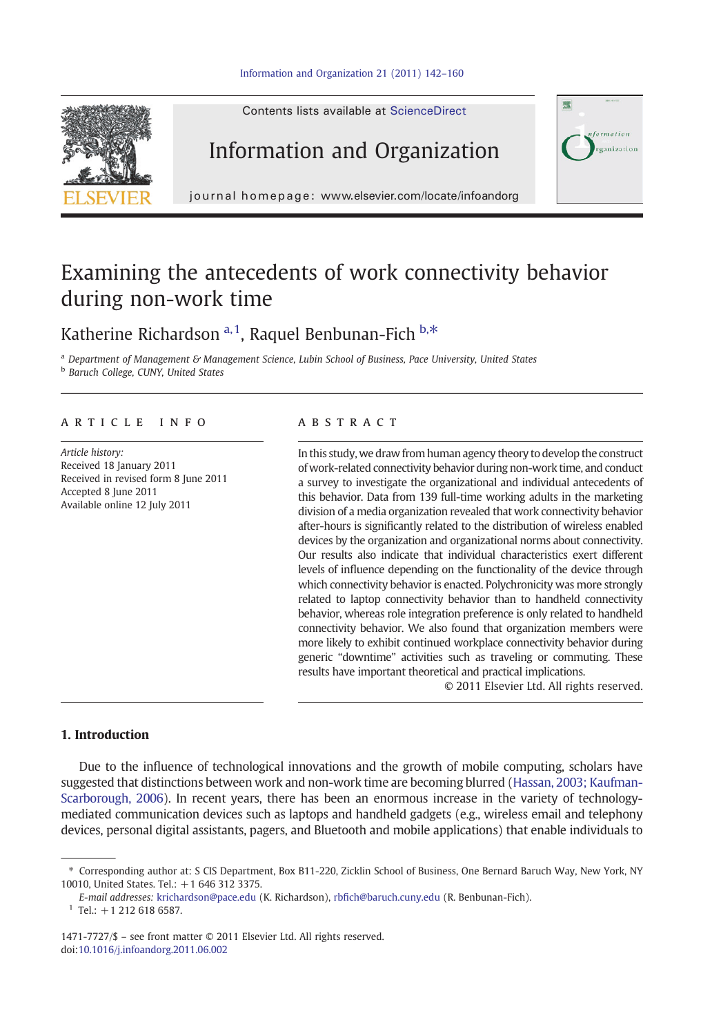



# Information and Organization



journal homepage: www.elsevier.com/locate/infoandorg

# Examining the antecedents of work connectivity behavior during non-work time

## Katherine Richardson<sup>a, 1</sup>, Raquel Benbunan-Fich  $h.*$

a Department of Management & Management Science, Lubin School of Business, Pace University, United States **b** Baruch College, CUNY, United States

#### article info abstract

Article history: Received 18 January 2011 Received in revised form 8 June 2011 Accepted 8 June 2011 Available online 12 July 2011

In this study, we draw from human agency theory to develop the construct of work-related connectivity behavior during non-work time, and conduct a survey to investigate the organizational and individual antecedents of this behavior. Data from 139 full-time working adults in the marketing division of a media organization revealed that work connectivity behavior after-hours is significantly related to the distribution of wireless enabled devices by the organization and organizational norms about connectivity. Our results also indicate that individual characteristics exert different levels of influence depending on the functionality of the device through which connectivity behavior is enacted. Polychronicity was more strongly related to laptop connectivity behavior than to handheld connectivity behavior, whereas role integration preference is only related to handheld connectivity behavior. We also found that organization members were more likely to exhibit continued workplace connectivity behavior during generic "downtime" activities such as traveling or commuting. These results have important theoretical and practical implications.

© 2011 Elsevier Ltd. All rights reserved.

#### 1. Introduction

Due to the influence of technological innovations and the growth of mobile computing, scholars have suggested that distinctions between work and non-work time are becoming blurred [\(Hassan, 2003; Kaufman-](#page-17-0)[Scarborough, 2006](#page-17-0)). In recent years, there has been an enormous increase in the variety of technologymediated communication devices such as laptops and handheld gadgets (e.g., wireless email and telephony devices, personal digital assistants, pagers, and Bluetooth and mobile applications) that enable individuals to

 $1$  Tel.: +1 212 618 6587.

<sup>⁎</sup> Corresponding author at: S CIS Department, Box B11-220, Zicklin School of Business, One Bernard Baruch Way, New York, NY 10010, United States. Tel.: +1 646 312 3375.

E-mail addresses: [krichardson@pace.edu](mailto:krichardson@pace.edu) (K. Richardson), rbfi[ch@baruch.cuny.edu](mailto:rbfich@baruch.cuny.edu) (R. Benbunan-Fich).

<sup>1471-7727/\$</sup> – see front matter © 2011 Elsevier Ltd. All rights reserved. doi:[10.1016/j.infoandorg.2011.06.002](http://dx.doi.org/10.1016/j.infoandorg.2011.06.002)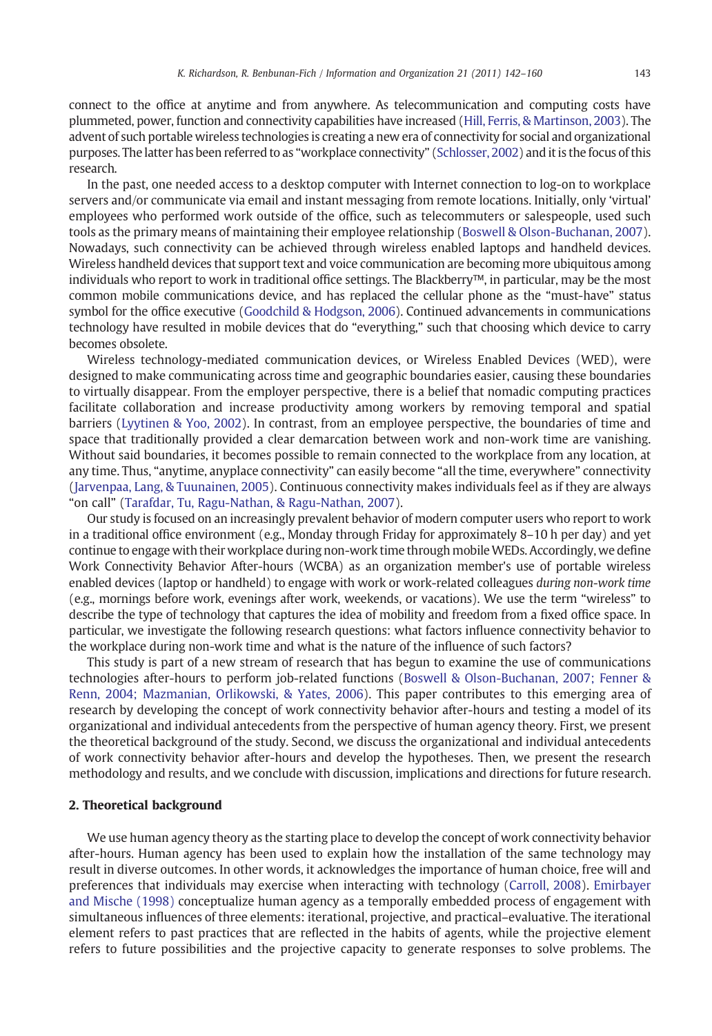connect to the office at anytime and from anywhere. As telecommunication and computing costs have plummeted, power, function and connectivity capabilities have increased [\(Hill, Ferris, & Martinson, 2003](#page-17-0)). The advent of such portable wireless technologies is creating a new era of connectivity for social and organizational purposes. The latter has been referred to as "workplace connectivity" [\(Schlosser, 2002\)](#page-18-0) and it is the focus of this research.

In the past, one needed access to a desktop computer with Internet connection to log-on to workplace servers and/or communicate via email and instant messaging from remote locations. Initially, only 'virtual' employees who performed work outside of the office, such as telecommuters or salespeople, used such tools as the primary means of maintaining their employee relationship ([Boswell & Olson-Buchanan, 2007\)](#page-17-0). Nowadays, such connectivity can be achieved through wireless enabled laptops and handheld devices. Wireless handheld devices that support text and voice communication are becoming more ubiquitous among individuals who report to work in traditional office settings. The Blackberry™, in particular, may be the most common mobile communications device, and has replaced the cellular phone as the "must-have" status symbol for the office executive [\(Goodchild & Hodgson, 2006\)](http://www.independent.co.uk/news/science/crackberry-addicts-why-the-workers-who-cant-switch-off-are-suing-their-employers-418309.html). Continued advancements in communications technology have resulted in mobile devices that do "everything," such that choosing which device to carry becomes obsolete.

Wireless technology-mediated communication devices, or Wireless Enabled Devices (WED), were designed to make communicating across time and geographic boundaries easier, causing these boundaries to virtually disappear. From the employer perspective, there is a belief that nomadic computing practices facilitate collaboration and increase productivity among workers by removing temporal and spatial barriers ([Lyytinen & Yoo, 2002\)](#page-18-0). In contrast, from an employee perspective, the boundaries of time and space that traditionally provided a clear demarcation between work and non-work time are vanishing. Without said boundaries, it becomes possible to remain connected to the workplace from any location, at any time. Thus, "anytime, anyplace connectivity" can easily become "all the time, everywhere" connectivity ([Jarvenpaa, Lang, & Tuunainen, 2005\)](#page-17-0). Continuous connectivity makes individuals feel as if they are always "on call" [\(Tarafdar, Tu, Ragu-Nathan, & Ragu-Nathan, 2007\)](#page-18-0).

Our study is focused on an increasingly prevalent behavior of modern computer users who report to work in a traditional office environment (e.g., Monday through Friday for approximately 8–10 h per day) and yet continue to engage with their workplace during non-work time through mobileWEDs. Accordingly, we define Work Connectivity Behavior After-hours (WCBA) as an organization member's use of portable wireless enabled devices (laptop or handheld) to engage with work or work-related colleagues during non-work time (e.g., mornings before work, evenings after work, weekends, or vacations). We use the term "wireless" to describe the type of technology that captures the idea of mobility and freedom from a fixed office space. In particular, we investigate the following research questions: what factors influence connectivity behavior to the workplace during non-work time and what is the nature of the influence of such factors?

This study is part of a new stream of research that has begun to examine the use of communications technologies after-hours to perform job-related functions [\(Boswell & Olson-Buchanan, 2007; Fenner &](#page-17-0) [Renn, 2004; Mazmanian, Orlikowski, & Yates, 2006\)](#page-17-0). This paper contributes to this emerging area of research by developing the concept of work connectivity behavior after-hours and testing a model of its organizational and individual antecedents from the perspective of human agency theory. First, we present the theoretical background of the study. Second, we discuss the organizational and individual antecedents of work connectivity behavior after-hours and develop the hypotheses. Then, we present the research methodology and results, and we conclude with discussion, implications and directions for future research.

#### 2. Theoretical background

We use human agency theory as the starting place to develop the concept of work connectivity behavior after-hours. Human agency has been used to explain how the installation of the same technology may result in diverse outcomes. In other words, it acknowledges the importance of human choice, free will and preferences that individuals may exercise when interacting with technology ([Carroll, 2008](#page-17-0)). [Emirbayer](#page-17-0) [and Mische \(1998\)](#page-17-0) conceptualize human agency as a temporally embedded process of engagement with simultaneous influences of three elements: iterational, projective, and practical–evaluative. The iterational element refers to past practices that are reflected in the habits of agents, while the projective element refers to future possibilities and the projective capacity to generate responses to solve problems. The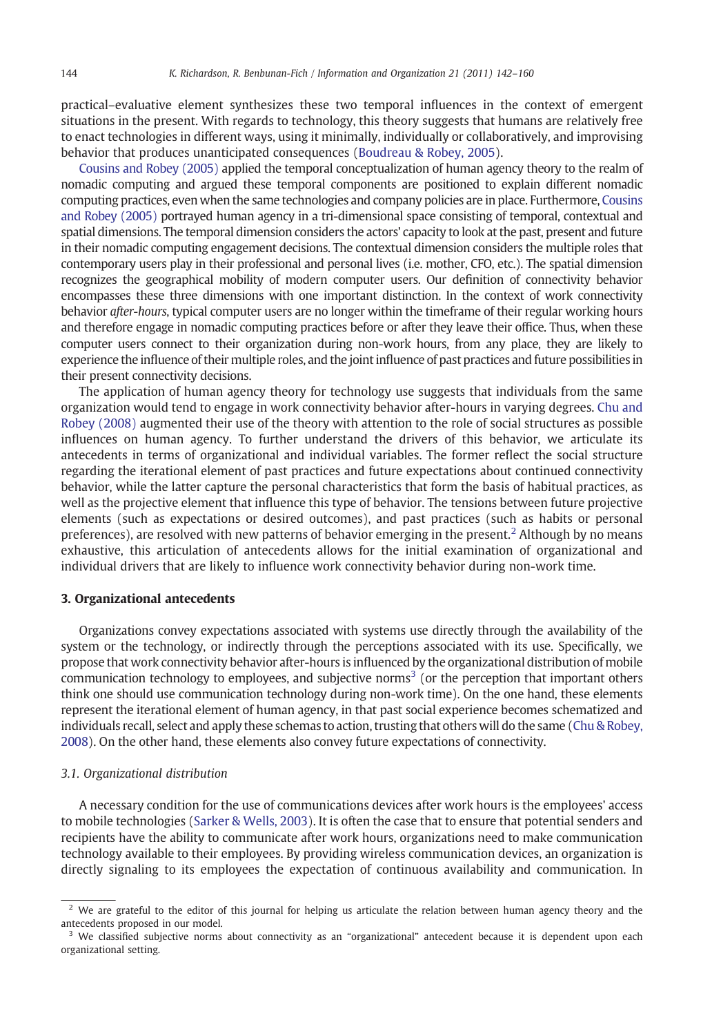practical–evaluative element synthesizes these two temporal influences in the context of emergent situations in the present. With regards to technology, this theory suggests that humans are relatively free to enact technologies in different ways, using it minimally, individually or collaboratively, and improvising behavior that produces unanticipated consequences ([Boudreau & Robey, 2005\)](#page-17-0).

[Cousins and Robey \(2005\)](#page-17-0) applied the temporal conceptualization of human agency theory to the realm of nomadic computing and argued these temporal components are positioned to explain different nomadic computing practices, even when the same technologies and company policies are in place. Furthermore, [Cousins](#page-17-0) [and Robey \(2005\)](#page-17-0) portrayed human agency in a tri-dimensional space consisting of temporal, contextual and spatial dimensions. The temporal dimension considers the actors' capacity to look at the past, present and future in their nomadic computing engagement decisions. The contextual dimension considers the multiple roles that contemporary users play in their professional and personal lives (i.e. mother, CFO, etc.). The spatial dimension recognizes the geographical mobility of modern computer users. Our definition of connectivity behavior encompasses these three dimensions with one important distinction. In the context of work connectivity behavior after-hours, typical computer users are no longer within the timeframe of their regular working hours and therefore engage in nomadic computing practices before or after they leave their office. Thus, when these computer users connect to their organization during non-work hours, from any place, they are likely to experience the influence of their multiple roles, and the joint influence of past practices and future possibilities in their present connectivity decisions.

The application of human agency theory for technology use suggests that individuals from the same organization would tend to engage in work connectivity behavior after-hours in varying degrees. [Chu and](#page-17-0) [Robey \(2008\)](#page-17-0) augmented their use of the theory with attention to the role of social structures as possible influences on human agency. To further understand the drivers of this behavior, we articulate its antecedents in terms of organizational and individual variables. The former reflect the social structure regarding the iterational element of past practices and future expectations about continued connectivity behavior, while the latter capture the personal characteristics that form the basis of habitual practices, as well as the projective element that influence this type of behavior. The tensions between future projective elements (such as expectations or desired outcomes), and past practices (such as habits or personal preferences), are resolved with new patterns of behavior emerging in the present.<sup>2</sup> Although by no means exhaustive, this articulation of antecedents allows for the initial examination of organizational and individual drivers that are likely to influence work connectivity behavior during non-work time.

#### 3. Organizational antecedents

Organizations convey expectations associated with systems use directly through the availability of the system or the technology, or indirectly through the perceptions associated with its use. Specifically, we propose that work connectivity behavior after-hours is influenced by the organizational distribution of mobile communication technology to employees, and subjective norms<sup>3</sup> (or the perception that important others think one should use communication technology during non-work time). On the one hand, these elements represent the iterational element of human agency, in that past social experience becomes schematized and individuals recall, select and apply these schemas to action, trusting that others will do the same ([Chu & Robey,](#page-17-0) [2008\)](#page-17-0). On the other hand, these elements also convey future expectations of connectivity.

#### 3.1. Organizational distribution

A necessary condition for the use of communications devices after work hours is the employees' access to mobile technologies ([Sarker & Wells, 2003](#page-18-0)). It is often the case that to ensure that potential senders and recipients have the ability to communicate after work hours, organizations need to make communication technology available to their employees. By providing wireless communication devices, an organization is directly signaling to its employees the expectation of continuous availability and communication. In

 $2$  We are grateful to the editor of this journal for helping us articulate the relation between human agency theory and the antecedents proposed in our model.

We classified subjective norms about connectivity as an "organizational" antecedent because it is dependent upon each organizational setting.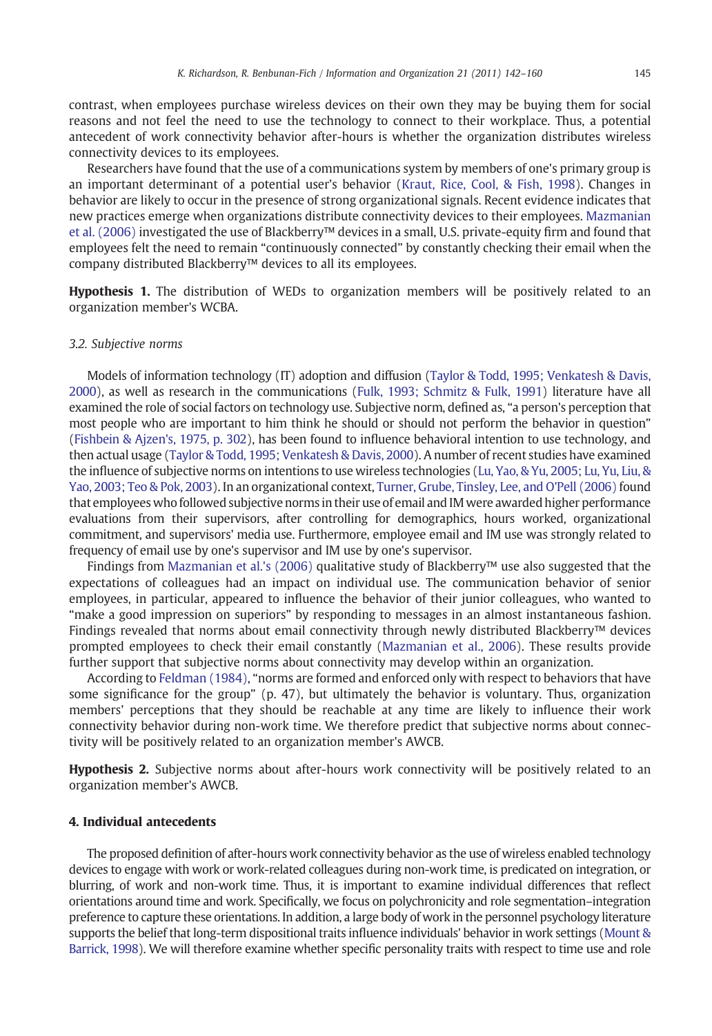<span id="page-3-0"></span>contrast, when employees purchase wireless devices on their own they may be buying them for social reasons and not feel the need to use the technology to connect to their workplace. Thus, a potential antecedent of work connectivity behavior after-hours is whether the organization distributes wireless connectivity devices to its employees.

Researchers have found that the use of a communications system by members of one's primary group is an important determinant of a potential user's behavior [\(Kraut, Rice, Cool, & Fish, 1998](#page-17-0)). Changes in behavior are likely to occur in the presence of strong organizational signals. Recent evidence indicates that new practices emerge when organizations distribute connectivity devices to their employees. [Mazmanian](#page-18-0) [et al. \(2006\)](#page-18-0) investigated the use of Blackberry™ devices in a small, U.S. private-equity firm and found that employees felt the need to remain "continuously connected" by constantly checking their email when the company distributed Blackberry™ devices to all its employees.

Hypothesis 1. The distribution of WEDs to organization members will be positively related to an organization member's WCBA.

#### 3.2. Subjective norms

Models of information technology (IT) adoption and diffusion [\(Taylor & Todd, 1995; Venkatesh & Davis,](#page-18-0) [2000](#page-18-0)), as well as research in the communications ([Fulk, 1993; Schmitz & Fulk, 1991](#page-17-0)) literature have all examined the role of social factors on technology use. Subjective norm, defined as, "a person's perception that most people who are important to him think he should or should not perform the behavior in question" ([Fishbein & Ajzen's, 1975, p. 302](#page-17-0)), has been found to influence behavioral intention to use technology, and then actual usage [\(Taylor & Todd, 1995; Venkatesh & Davis, 2000\)](#page-18-0). A number of recent studies have examined the influence of subjective norms on intentions to use wireless technologies [\(Lu, Yao, & Yu, 2005; Lu, Yu, Liu, &](#page-18-0) [Yao, 2003; Teo & Pok, 2003\)](#page-18-0). In an organizational context, [Turner, Grube, Tinsley, Lee, and O'Pell \(2006\)](#page-18-0) found that employees who followed subjective norms in their use of email and IM were awarded higher performance evaluations from their supervisors, after controlling for demographics, hours worked, organizational commitment, and supervisors' media use. Furthermore, employee email and IM use was strongly related to frequency of email use by one's supervisor and IM use by one's supervisor.

Findings from [Mazmanian et al.'s \(2006\)](#page-18-0) qualitative study of Blackberry™ use also suggested that the expectations of colleagues had an impact on individual use. The communication behavior of senior employees, in particular, appeared to influence the behavior of their junior colleagues, who wanted to "make a good impression on superiors" by responding to messages in an almost instantaneous fashion. Findings revealed that norms about email connectivity through newly distributed Blackberry™ devices prompted employees to check their email constantly [\(Mazmanian et al., 2006](#page-18-0)). These results provide further support that subjective norms about connectivity may develop within an organization.

According to [Feldman \(1984\),](#page-17-0) "norms are formed and enforced only with respect to behaviors that have some significance for the group" (p. 47), but ultimately the behavior is voluntary. Thus, organization members' perceptions that they should be reachable at any time are likely to influence their work connectivity behavior during non-work time. We therefore predict that subjective norms about connectivity will be positively related to an organization member's AWCB.

Hypothesis 2. Subjective norms about after-hours work connectivity will be positively related to an organization member's AWCB.

#### 4. Individual antecedents

The proposed definition of after-hours work connectivity behavior as the use of wireless enabled technology devices to engage with work or work-related colleagues during non-work time, is predicated on integration, or blurring, of work and non-work time. Thus, it is important to examine individual differences that reflect orientations around time and work. Specifically, we focus on polychronicity and role segmentation–integration preference to capture these orientations. In addition, a large body of work in the personnel psychology literature supports the belief that long-term dispositional traits influence individuals' behavior in work settings [\(Mount &](#page-18-0) [Barrick, 1998\)](#page-18-0). We will therefore examine whether specific personality traits with respect to time use and role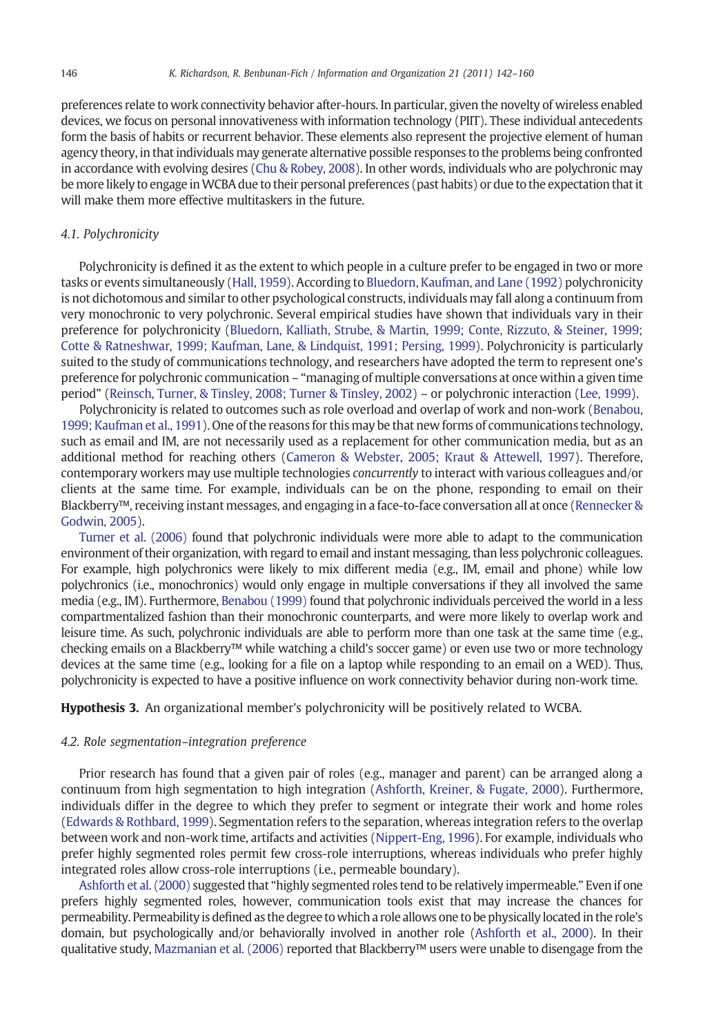<span id="page-4-0"></span>preferences relate to work connectivity behavior after-hours. In particular, given the novelty of wireless enabled devices, we focus on personal innovativeness with information technology (PIIT). These individual antecedents form the basis of habits or recurrent behavior. These elements also represent the projective element of human agency theory, in that individuals may generate alternative possible responses to the problems being confronted in accordance with evolving desires [\(Chu & Robey, 2008](#page-17-0)). In other words, individuals who are polychronic may be more likely to engage inWCBA due to their personal preferences (past habits) or due to the expectation that it will make them more effective multitaskers in the future.

#### 4.1. Polychronicity

Polychronicity is defined it as the extent to which people in a culture prefer to be engaged in two or more tasks or events simultaneously ([Hall, 1959](#page-17-0)). According to [Bluedorn, Kaufman, and Lane \(1992\)](#page-17-0) polychronicity is not dichotomous and similar to other psychological constructs, individuals may fall along a continuum from very monochronic to very polychronic. Several empirical studies have shown that individuals vary in their preference for polychronicity [\(Bluedorn, Kalliath, Strube, & Martin, 1999; Conte, Rizzuto, & Steiner, 1999;](#page-16-0) [Cotte & Ratneshwar, 1999; Kaufman, Lane, & Lindquist, 1991; Persing, 1999](#page-16-0)). Polychronicity is particularly suited to the study of communications technology, and researchers have adopted the term to represent one's preference for polychronic communication – "managing of multiple conversations at once within a given time period" [\(Reinsch, Turner, & Tinsley, 2008; Turner & Tinsley, 2002](#page-18-0)) – or polychronic interaction [\(Lee, 1999\)](#page-17-0).

Polychronicity is related to outcomes such as role overload and overlap of work and non-work [\(Benabou,](#page-16-0) [1999; Kaufman et al., 1991\)](#page-16-0). One of the reasons for this may be that new forms of communications technology, such as email and IM, are not necessarily used as a replacement for other communication media, but as an additional method for reaching others [\(Cameron & Webster, 2005; Kraut & Attewell, 1997\)](#page-17-0). Therefore, contemporary workers may use multiple technologies concurrently to interact with various colleagues and/or clients at the same time. For example, individuals can be on the phone, responding to email on their Blackberry™, receiving instant messages, and engaging in a face-to-face conversation all at once [\(Rennecker &](#page-18-0) [Godwin, 2005\)](#page-18-0).

[Turner et al. \(2006\)](#page-18-0) found that polychronic individuals were more able to adapt to the communication environment of their organization, with regard to email and instant messaging, than less polychronic colleagues. For example, high polychronics were likely to mix different media (e.g., IM, email and phone) while low polychronics (i.e., monochronics) would only engage in multiple conversations if they all involved the same media (e.g., IM). Furthermore, [Benabou \(1999\)](#page-16-0) found that polychronic individuals perceived the world in a less compartmentalized fashion than their monochronic counterparts, and were more likely to overlap work and leisure time. As such, polychronic individuals are able to perform more than one task at the same time (e.g., checking emails on a Blackberry™ while watching a child's soccer game) or even use two or more technology devices at the same time (e.g., looking for a file on a laptop while responding to an email on a WED). Thus, polychronicity is expected to have a positive influence on work connectivity behavior during non-work time.

Hypothesis 3. An organizational member's polychronicity will be positively related to WCBA.

#### 4.2. Role segmentation–integration preference

Prior research has found that a given pair of roles (e.g., manager and parent) can be arranged along a continuum from high segmentation to high integration ([Ashforth, Kreiner, & Fugate, 2000\)](#page-16-0). Furthermore, individuals differ in the degree to which they prefer to segment or integrate their work and home roles ([Edwards & Rothbard, 1999](#page-17-0)). Segmentation refers to the separation, whereas integration refers to the overlap between work and non-work time, artifacts and activities [\(Nippert-Eng, 1996\)](#page-18-0). For example, individuals who prefer highly segmented roles permit few cross-role interruptions, whereas individuals who prefer highly integrated roles allow cross-role interruptions (i.e., permeable boundary).

[Ashforth et al. \(2000\)](#page-16-0) suggested that "highly segmented roles tend to be relatively impermeable." Even if one prefers highly segmented roles, however, communication tools exist that may increase the chances for permeability. Permeability is defined as the degree to which a role allows one to be physically located in the role's domain, but psychologically and/or behaviorally involved in another role [\(Ashforth et al., 2000\)](#page-16-0). In their qualitative study, [Mazmanian et al. \(2006\)](#page-18-0) reported that Blackberry™ users were unable to disengage from the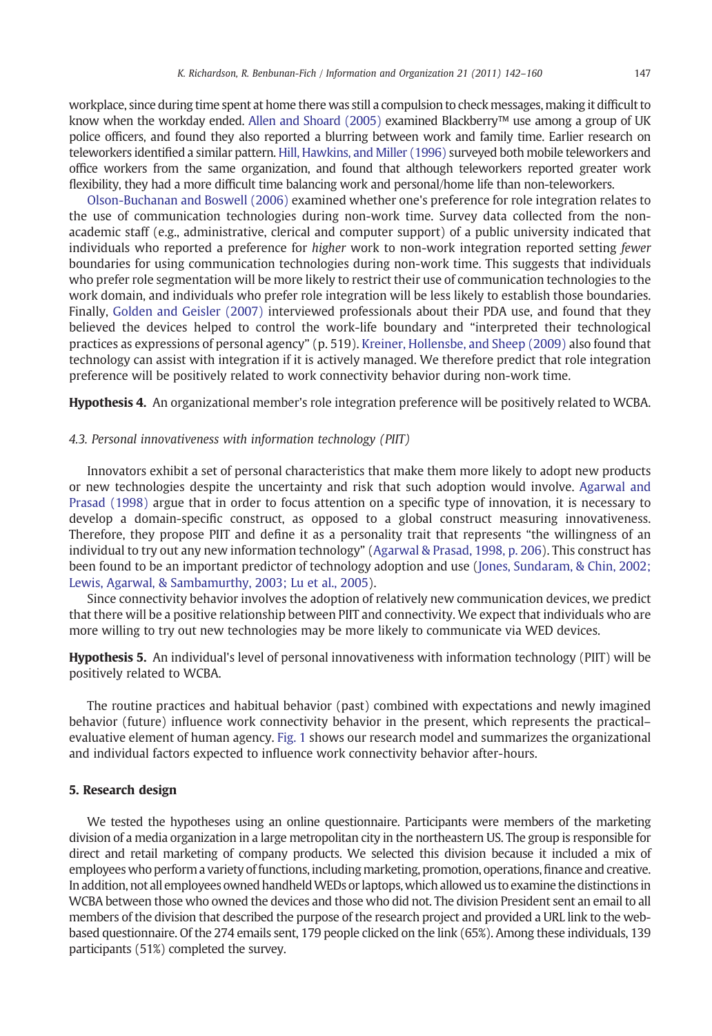<span id="page-5-0"></span>workplace, since during time spent at home there was still a compulsion to check messages, making it difficult to know when the workday ended. [Allen and Shoard \(2005\)](#page-16-0) examined Blackberry™ use among a group of UK police officers, and found they also reported a blurring between work and family time. Earlier research on teleworkers identified a similar pattern. [Hill, Hawkins, and Miller \(1996\)](#page-17-0) surveyed both mobile teleworkers and office workers from the same organization, and found that although teleworkers reported greater work flexibility, they had a more difficult time balancing work and personal/home life than non-teleworkers.

[Olson-Buchanan and Boswell \(2006\)](#page-18-0) examined whether one's preference for role integration relates to the use of communication technologies during non-work time. Survey data collected from the nonacademic staff (e.g., administrative, clerical and computer support) of a public university indicated that individuals who reported a preference for higher work to non-work integration reported setting *fewer* boundaries for using communication technologies during non-work time. This suggests that individuals who prefer role segmentation will be more likely to restrict their use of communication technologies to the work domain, and individuals who prefer role integration will be less likely to establish those boundaries. Finally, [Golden and Geisler \(2007\)](#page-17-0) interviewed professionals about their PDA use, and found that they believed the devices helped to control the work-life boundary and "interpreted their technological practices as expressions of personal agency" (p. 519). [Kreiner, Hollensbe, and Sheep \(2009\)](#page-17-0) also found that technology can assist with integration if it is actively managed. We therefore predict that role integration preference will be positively related to work connectivity behavior during non-work time.

Hypothesis 4. An organizational member's role integration preference will be positively related to WCBA.

#### 4.3. Personal innovativeness with information technology (PIIT)

Innovators exhibit a set of personal characteristics that make them more likely to adopt new products or new technologies despite the uncertainty and risk that such adoption would involve. [Agarwal and](#page-16-0) [Prasad \(1998\)](#page-16-0) argue that in order to focus attention on a specific type of innovation, it is necessary to develop a domain-specific construct, as opposed to a global construct measuring innovativeness. Therefore, they propose PIIT and define it as a personality trait that represents "the willingness of an individual to try out any new information technology" [\(Agarwal & Prasad, 1998, p. 206\)](#page-16-0). This construct has been found to be an important predictor of technology adoption and use [\(Jones, Sundaram, & Chin, 2002;](#page-17-0) [Lewis, Agarwal, & Sambamurthy, 2003; Lu et al., 2005](#page-17-0)).

Since connectivity behavior involves the adoption of relatively new communication devices, we predict that there will be a positive relationship between PIIT and connectivity. We expect that individuals who are more willing to try out new technologies may be more likely to communicate via WED devices.

Hypothesis 5. An individual's level of personal innovativeness with information technology (PIIT) will be positively related to WCBA.

The routine practices and habitual behavior (past) combined with expectations and newly imagined behavior (future) influence work connectivity behavior in the present, which represents the practical– evaluative element of human agency. [Fig. 1](#page-6-0) shows our research model and summarizes the organizational and individual factors expected to influence work connectivity behavior after-hours.

#### 5. Research design

We tested the hypotheses using an online questionnaire. Participants were members of the marketing division of a media organization in a large metropolitan city in the northeastern US. The group is responsible for direct and retail marketing of company products. We selected this division because it included a mix of employees who perform a variety of functions, including marketing, promotion, operations,finance and creative. Inaddition, not all employees owned handheldWEDs or laptops, which allowed us to examine the distinctions in WCBA between those who owned the devices and those who did not. The division President sent an email to all members of the division that described the purpose of the research project and provided a URL link to the webbased questionnaire. Of the 274 emails sent, 179 people clicked on the link (65%). Among these individuals, 139 participants (51%) completed the survey.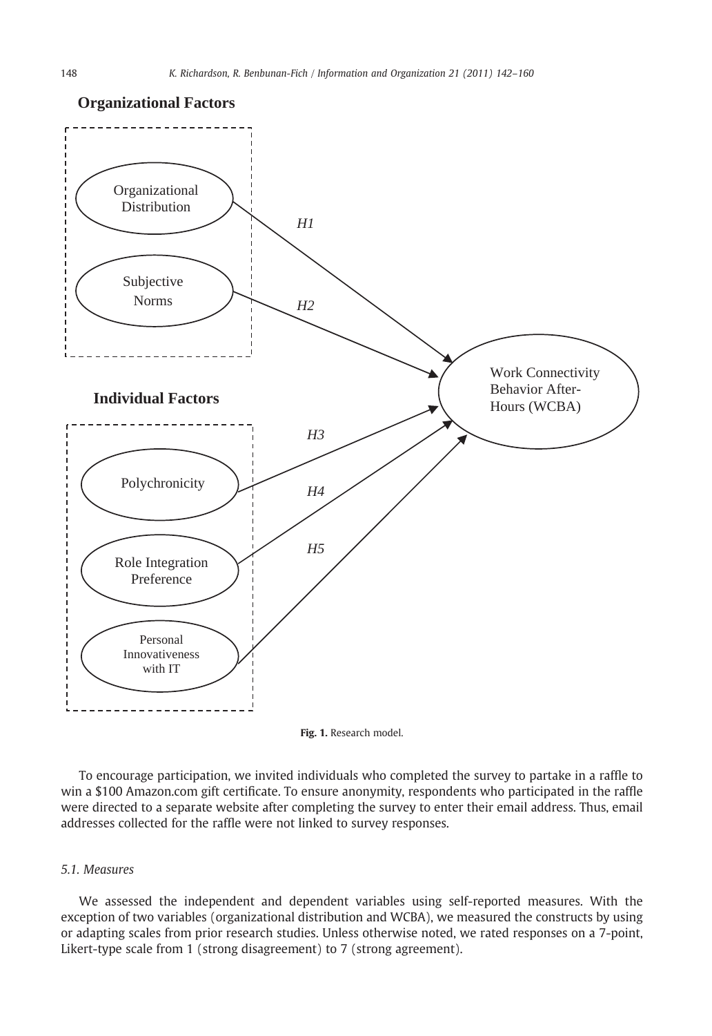

### <span id="page-6-0"></span>**Organizational Factors**

Fig. 1. Research model.

To encourage participation, we invited individuals who completed the survey to partake in a raffle to win a \$100 Amazon.com gift certificate. To ensure anonymity, respondents who participated in the raffle were directed to a separate website after completing the survey to enter their email address. Thus, email addresses collected for the raffle were not linked to survey responses.

#### 5.1. Measures

We assessed the independent and dependent variables using self-reported measures. With the exception of two variables (organizational distribution and WCBA), we measured the constructs by using or adapting scales from prior research studies. Unless otherwise noted, we rated responses on a 7-point, Likert-type scale from 1 (strong disagreement) to 7 (strong agreement).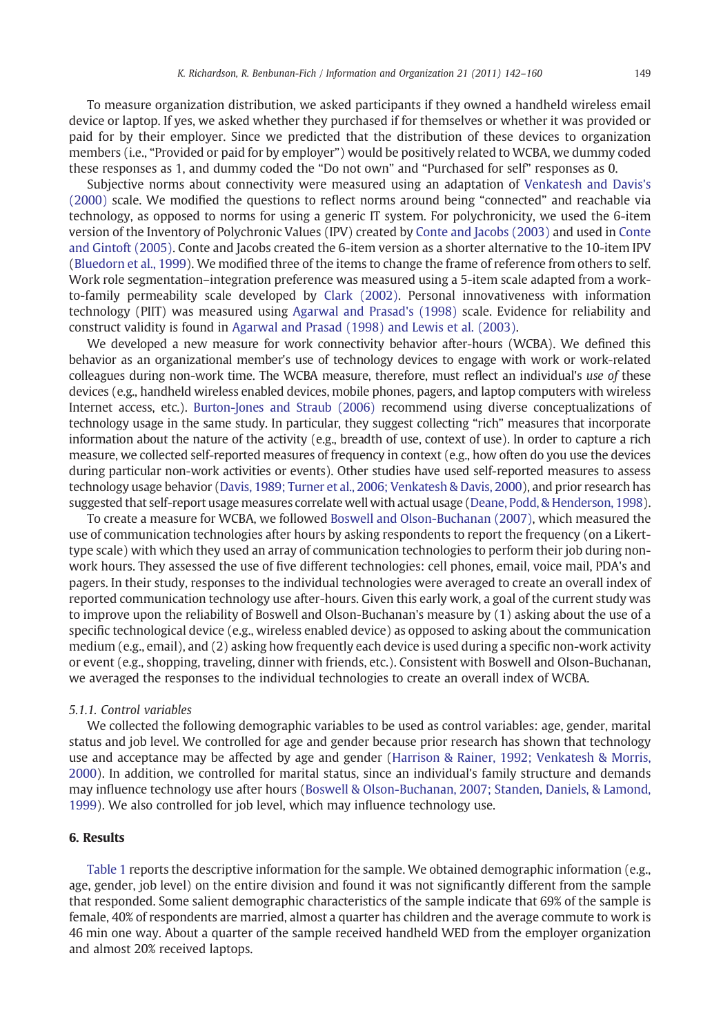To measure organization distribution, we asked participants if they owned a handheld wireless email device or laptop. If yes, we asked whether they purchased if for themselves or whether it was provided or paid for by their employer. Since we predicted that the distribution of these devices to organization members (i.e., "Provided or paid for by employer") would be positively related to WCBA, we dummy coded these responses as 1, and dummy coded the "Do not own" and "Purchased for self" responses as 0.

Subjective norms about connectivity were measured using an adaptation of [Venkatesh and Davis's](#page-18-0) [\(2000\)](#page-18-0) scale. We modified the questions to reflect norms around being "connected" and reachable via technology, as opposed to norms for using a generic IT system. For polychronicity, we used the 6-item version of the Inventory of Polychronic Values (IPV) created by [Conte and Jacobs \(2003\)](#page-17-0) and used in [Conte](#page-17-0) [and Gintoft \(2005\)](#page-17-0). Conte and Jacobs created the 6-item version as a shorter alternative to the 10-item IPV ([Bluedorn et al., 1999](#page-16-0)). We modified three of the items to change the frame of reference from others to self. Work role segmentation–integration preference was measured using a 5-item scale adapted from a workto-family permeability scale developed by [Clark \(2002\).](#page-17-0) Personal innovativeness with information technology (PIIT) was measured using [Agarwal and Prasad's \(1998\)](#page-16-0) scale. Evidence for reliability and construct validity is found in [Agarwal and Prasad \(1998\) and Lewis et al. \(2003\)](#page-16-0).

We developed a new measure for work connectivity behavior after-hours (WCBA). We defined this behavior as an organizational member's use of technology devices to engage with work or work-related colleagues during non-work time. The WCBA measure, therefore, must reflect an individual's use of these devices (e.g., handheld wireless enabled devices, mobile phones, pagers, and laptop computers with wireless Internet access, etc.). [Burton-Jones and Straub \(2006\)](#page-17-0) recommend using diverse conceptualizations of technology usage in the same study. In particular, they suggest collecting "rich" measures that incorporate information about the nature of the activity (e.g., breadth of use, context of use). In order to capture a rich measure, we collected self-reported measures of frequency in context (e.g., how often do you use the devices during particular non-work activities or events). Other studies have used self-reported measures to assess technology usage behavior ([Davis, 1989; Turner et al., 2006; Venkatesh & Davis, 2000](#page-17-0)), and prior research has suggested that self-report usage measures correlate well with actual usage [\(Deane, Podd, & Henderson, 1998\)](#page-17-0).

To create a measure for WCBA, we followed [Boswell and Olson-Buchanan \(2007\)](#page-17-0), which measured the use of communication technologies after hours by asking respondents to report the frequency (on a Likerttype scale) with which they used an array of communication technologies to perform their job during nonwork hours. They assessed the use of five different technologies: cell phones, email, voice mail, PDA's and pagers. In their study, responses to the individual technologies were averaged to create an overall index of reported communication technology use after-hours. Given this early work, a goal of the current study was to improve upon the reliability of Boswell and Olson-Buchanan's measure by (1) asking about the use of a specific technological device (e.g., wireless enabled device) as opposed to asking about the communication medium (e.g., email), and (2) asking how frequently each device is used during a specific non-work activity or event (e.g., shopping, traveling, dinner with friends, etc.). Consistent with Boswell and Olson-Buchanan, we averaged the responses to the individual technologies to create an overall index of WCBA.

### 5.1.1. Control variables

We collected the following demographic variables to be used as control variables: age, gender, marital status and job level. We controlled for age and gender because prior research has shown that technology use and acceptance may be affected by age and gender ([Harrison & Rainer, 1992; Venkatesh & Morris,](#page-17-0) [2000\)](#page-17-0). In addition, we controlled for marital status, since an individual's family structure and demands may influence technology use after hours ([Boswell & Olson-Buchanan, 2007; Standen, Daniels, & Lamond,](#page-17-0) [1999\)](#page-17-0). We also controlled for job level, which may influence technology use.

#### 6. Results

[Table 1](#page-8-0) reports the descriptive information for the sample. We obtained demographic information (e.g., age, gender, job level) on the entire division and found it was not significantly different from the sample that responded. Some salient demographic characteristics of the sample indicate that 69% of the sample is female, 40% of respondents are married, almost a quarter has children and the average commute to work is 46 min one way. About a quarter of the sample received handheld WED from the employer organization and almost 20% received laptops.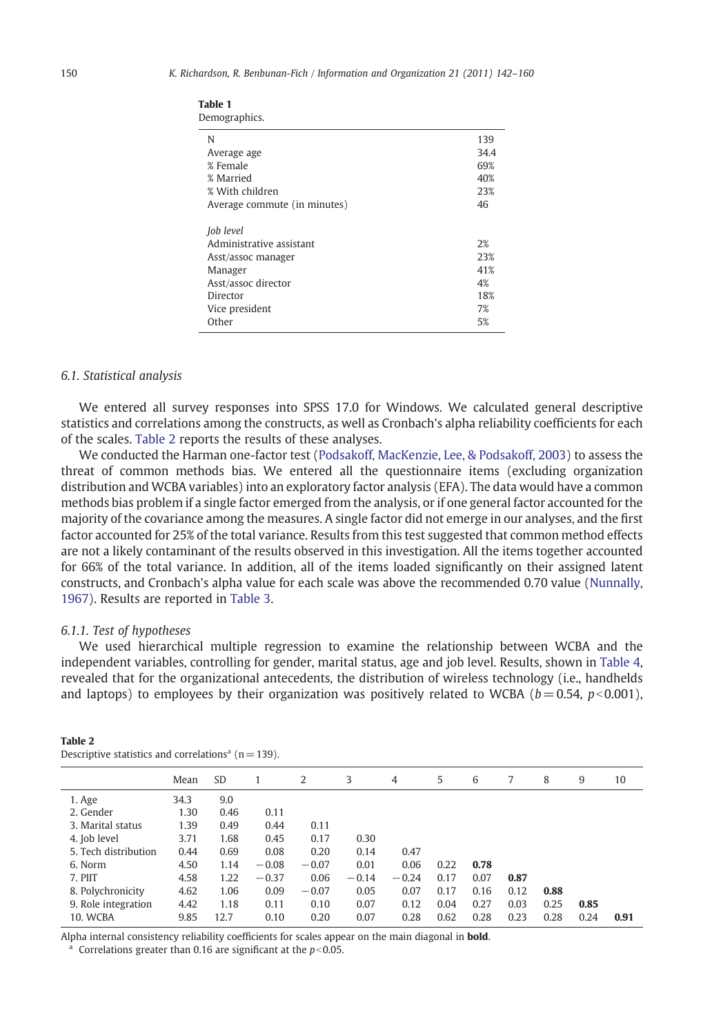| $\frac{1}{2}$                |      |
|------------------------------|------|
| N                            | 139  |
| Average age                  | 34.4 |
| % Female                     | 69%  |
| % Married                    | 40%  |
| % With children              | 23%  |
| Average commute (in minutes) | 46   |
| Job level                    |      |
| Administrative assistant     | 2%   |
| Asst/assoc manager           | 23%  |
| Manager                      | 41%  |
| Asst/assoc director          | 4%   |
| Director                     | 18%  |
| Vice president               | 7%   |
| Other                        | 5%   |

<span id="page-8-0"></span>

| Table 1 |               |  |
|---------|---------------|--|
|         | Demographics. |  |

#### 6.1. Statistical analysis

We entered all survey responses into SPSS 17.0 for Windows. We calculated general descriptive statistics and correlations among the constructs, as well as Cronbach's alpha reliability coefficients for each of the scales. Table 2 reports the results of these analyses.

We conducted the Harman one-factor test ([Podsakoff, MacKenzie, Lee, & Podsakoff, 2003](#page-18-0)) to assess the threat of common methods bias. We entered all the questionnaire items (excluding organization distribution and WCBA variables) into an exploratory factor analysis (EFA). The data would have a common methods bias problem if a single factor emerged from the analysis, or if one general factor accounted for the majority of the covariance among the measures. A single factor did not emerge in our analyses, and the first factor accounted for 25% of the total variance. Results from this test suggested that common method effects are not a likely contaminant of the results observed in this investigation. All the items together accounted for 66% of the total variance. In addition, all of the items loaded significantly on their assigned latent constructs, and Cronbach's alpha value for each scale was above the recommended 0.70 value ([Nunnally,](#page-18-0) [1967](#page-18-0)). Results are reported in [Table 3.](#page-9-0)

#### 6.1.1. Test of hypotheses

We used hierarchical multiple regression to examine the relationship between WCBA and the independent variables, controlling for gender, marital status, age and job level. Results, shown in [Table 4,](#page-10-0) revealed that for the organizational antecedents, the distribution of wireless technology (i.e., handhelds and laptops) to employees by their organization was positively related to WCBA ( $b = 0.54$ ,  $p < 0.001$ ),

|                      | Mean | <b>SD</b> |         | 2       | 3       | 4       | 5    | 6    | 7    | 8    | 9    | 10   |
|----------------------|------|-----------|---------|---------|---------|---------|------|------|------|------|------|------|
| 1. Age               | 34.3 | 9.0       |         |         |         |         |      |      |      |      |      |      |
| 2. Gender            | 1.30 | 0.46      | 0.11    |         |         |         |      |      |      |      |      |      |
| 3. Marital status    | 1.39 | 0.49      | 0.44    | 0.11    |         |         |      |      |      |      |      |      |
| 4. Job level         | 3.71 | 1.68      | 0.45    | 0.17    | 0.30    |         |      |      |      |      |      |      |
| 5. Tech distribution | 0.44 | 0.69      | 0.08    | 0.20    | 0.14    | 0.47    |      |      |      |      |      |      |
| 6. Norm              | 4.50 | 1.14      | $-0.08$ | $-0.07$ | 0.01    | 0.06    | 0.22 | 0.78 |      |      |      |      |
| 7. PIIT              | 4.58 | 1.22      | $-0.37$ | 0.06    | $-0.14$ | $-0.24$ | 0.17 | 0.07 | 0.87 |      |      |      |
| 8. Polychronicity    | 4.62 | 1.06      | 0.09    | $-0.07$ | 0.05    | 0.07    | 0.17 | 0.16 | 0.12 | 0.88 |      |      |
| 9. Role integration  | 4.42 | 1.18      | 0.11    | 0.10    | 0.07    | 0.12    | 0.04 | 0.27 | 0.03 | 0.25 | 0.85 |      |
| 10. WCBA             | 9.85 | 12.7      | 0.10    | 0.20    | 0.07    | 0.28    | 0.62 | 0.28 | 0.23 | 0.28 | 0.24 | 0.91 |

#### Table 2 Descriptive statistics and correlations<sup>a</sup> ( $n = 139$ ).

Alpha internal consistency reliability coefficients for scales appear on the main diagonal in **bold**.

<sup>a</sup> Correlations greater than 0.16 are significant at the  $p<0.05$ .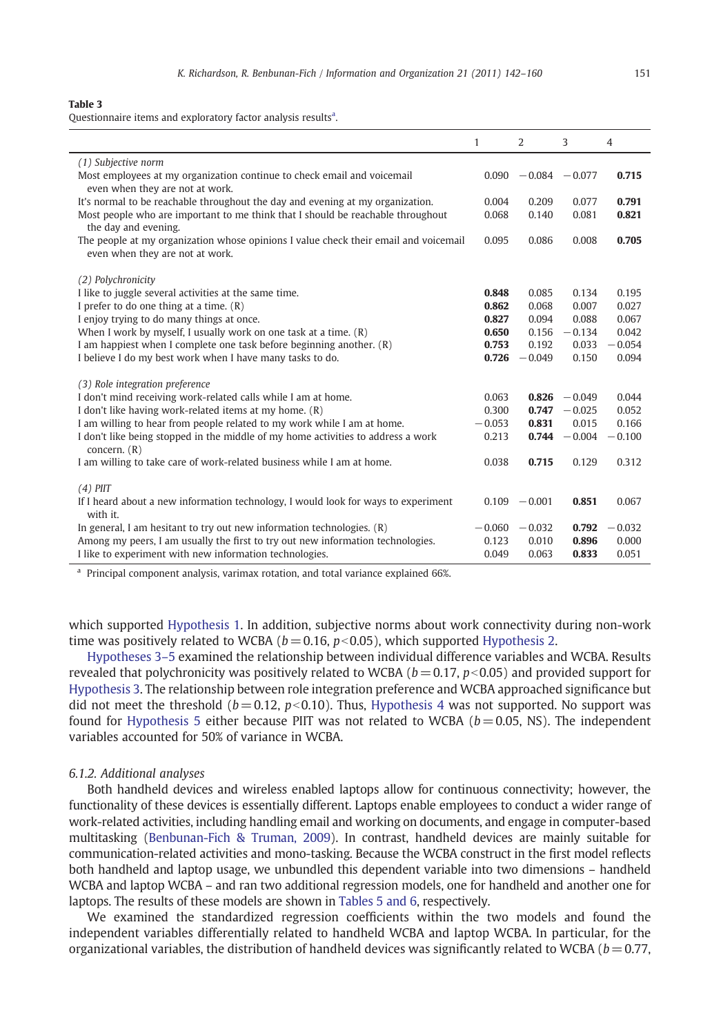#### <span id="page-9-0"></span>Table 3

Questionnaire items and exploratory factor analysis results<sup>a</sup>.

|                                                                                                                         | $\mathbf{1}$ | $\overline{2}$          | 3               | 4        |
|-------------------------------------------------------------------------------------------------------------------------|--------------|-------------------------|-----------------|----------|
| (1) Subjective norm                                                                                                     |              |                         |                 |          |
| Most employees at my organization continue to check email and voicemail<br>even when they are not at work.              |              | $0.090 - 0.084 - 0.077$ |                 | 0.715    |
| It's normal to be reachable throughout the day and evening at my organization.                                          | 0.004        | 0.209                   | 0.077           | 0.791    |
| Most people who are important to me think that I should be reachable throughout<br>the day and evening.                 | 0.068        | 0.140                   | 0.081           | 0.821    |
| The people at my organization whose opinions I value check their email and voicemail<br>even when they are not at work. | 0.095        | 0.086                   | 0.008           | 0.705    |
| (2) Polychronicity                                                                                                      |              |                         |                 |          |
| I like to juggle several activities at the same time.                                                                   | 0.848        | 0.085                   | 0.134           | 0.195    |
| I prefer to do one thing at a time. $(R)$                                                                               | 0.862        | 0.068                   | 0.007           | 0.027    |
| I enjoy trying to do many things at once.                                                                               | 0.827        | 0.094                   | 0.088           | 0.067    |
| When I work by myself, I usually work on one task at a time. $(R)$                                                      | 0.650        | 0.156                   | $-0.134$        | 0.042    |
| I am happiest when I complete one task before beginning another. (R)                                                    | 0.753        | 0.192                   | 0.033           | $-0.054$ |
| I believe I do my best work when I have many tasks to do.                                                               | 0.726        | $-0.049$                | 0.150           | 0.094    |
| (3) Role integration preference                                                                                         |              |                         |                 |          |
| I don't mind receiving work-related calls while I am at home.                                                           | 0.063        |                         | $0.826 - 0.049$ | 0.044    |
| I don't like having work-related items at my home. (R)                                                                  | 0.300        | 0.747                   | $-0.025$        | 0.052    |
| I am willing to hear from people related to my work while I am at home.                                                 | $-0.053$     | 0.831                   | 0.015           | 0.166    |
| I don't like being stopped in the middle of my home activities to address a work<br>concern. $(R)$                      | 0.213        | 0.744                   | $-0.004$        | $-0.100$ |
| I am willing to take care of work-related business while I am at home.                                                  | 0.038        | 0.715                   | 0.129           | 0.312    |
| $(4)$ PIIT                                                                                                              |              |                         |                 |          |
| If I heard about a new information technology, I would look for ways to experiment<br>with it.                          |              | $0.109 - 0.001$         | 0.851           | 0.067    |
| In general, I am hesitant to try out new information technologies. $(R)$                                                | $-0.060$     | $-0.032$                | 0.792           | $-0.032$ |
| Among my peers, I am usually the first to try out new information technologies.                                         | 0.123        | 0.010                   | 0.896           | 0.000    |
| I like to experiment with new information technologies.                                                                 | 0.049        | 0.063                   | 0.833           | 0.051    |

<sup>a</sup> Principal component analysis, varimax rotation, and total variance explained 66%.

which supported [Hypothesis 1](#page-3-0). In addition, subjective norms about work connectivity during non-work time was positively related to WCBA ( $b = 0.16$ ,  $p < 0.05$ ), which supported [Hypothesis 2.](#page-3-0)

[Hypotheses 3](#page-4-0)–5 examined the relationship between individual difference variables and WCBA. Results revealed that polychronicity was positively related to WCBA ( $b = 0.17$ ,  $p < 0.05$ ) and provided support for [Hypothesis 3](#page-4-0). The relationship between role integration preference and WCBA approached significance but did not meet the threshold ( $b = 0.12$ ,  $p < 0.10$ ). Thus, [Hypothesis 4](#page-5-0) was not supported. No support was found for [Hypothesis 5](#page-5-0) either because PIIT was not related to WCBA ( $b = 0.05$ , NS). The independent variables accounted for 50% of variance in WCBA.

#### 6.1.2. Additional analyses

Both handheld devices and wireless enabled laptops allow for continuous connectivity; however, the functionality of these devices is essentially different. Laptops enable employees to conduct a wider range of work-related activities, including handling email and working on documents, and engage in computer-based multitasking ([Benbunan-Fich & Truman, 2009](#page-16-0)). In contrast, handheld devices are mainly suitable for communication-related activities and mono-tasking. Because the WCBA construct in the first model reflects both handheld and laptop usage, we unbundled this dependent variable into two dimensions – handheld WCBA and laptop WCBA – and ran two additional regression models, one for handheld and another one for laptops. The results of these models are shown in [Tables 5 and 6,](#page-10-0) respectively.

We examined the standardized regression coefficients within the two models and found the independent variables differentially related to handheld WCBA and laptop WCBA. In particular, for the organizational variables, the distribution of handheld devices was significantly related to WCBA ( $b = 0.77$ ,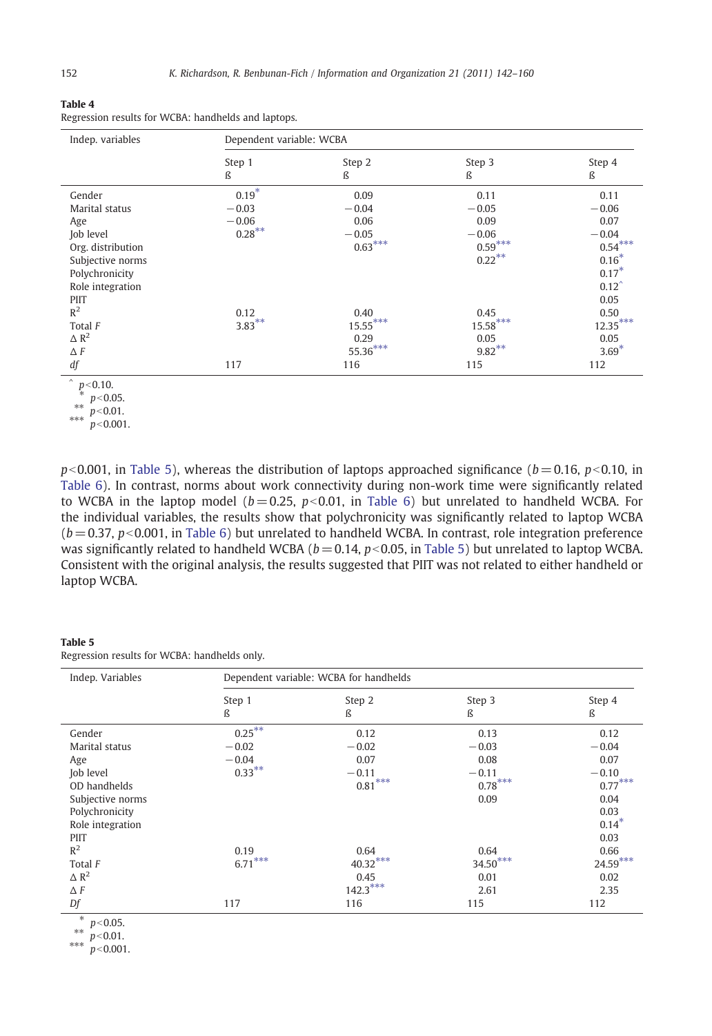<span id="page-10-0"></span>

|--|--|

| Regression results for WCBA: handhelds and laptops. |  |  |  |  |
|-----------------------------------------------------|--|--|--|--|
|-----------------------------------------------------|--|--|--|--|

| Indep. variables  | Dependent variable: WCBA |            |            |                  |  |
|-------------------|--------------------------|------------|------------|------------------|--|
|                   | Step 1                   | Step 2     | Step 3     | Step 4           |  |
|                   | ß                        | ß          | ß          | ß                |  |
| Gender            | $0.19*$                  | 0.09       | 0.11       | 0.11             |  |
| Marital status    | $-0.03$                  | $-0.04$    | $-0.05$    | $-0.06$          |  |
| Age               | $-0.06$                  | 0.06       | 0.09       | 0.07             |  |
| Job level         | $0.28***$                | $-0.05$    | $-0.06$    | $-0.04$          |  |
| Org. distribution |                          | $0.63***$  | $0.59***$  | $0.54***$        |  |
| Subjective norms  |                          |            | $0.22***$  | $0.16*$          |  |
| Polychronicity    |                          |            |            | $0.17*$          |  |
| Role integration  |                          |            |            | $0.12^{\degree}$ |  |
| PIIT              |                          |            |            | 0.05             |  |
| R <sup>2</sup>    | 0.12                     | 0.40       | 0.45       | 0.50             |  |
| Total F           | $3.83***$                | $15.55***$ | $15.58***$ | $12.35***$       |  |
| $\triangle R^2$   |                          | 0.29       | 0.05       | 0.05             |  |
| $\Delta F$        |                          | $55.36***$ | $9.82***$  | $3.69*$          |  |
| df                | 117                      | 116        | 115        | 112              |  |

 $p < 0.10$ .

 $p<0.001$ , in Table 5), whereas the distribution of laptops approached significance ( $b= 0.16$ ,  $p<0.10$ , in [Table 6](#page-11-0)). In contrast, norms about work connectivity during non-work time were significantly related to WCBA in the laptop model  $(b= 0.25, p< 0.01,$  in [Table 6\)](#page-11-0) but unrelated to handheld WCBA. For the individual variables, the results show that polychronicity was significantly related to laptop WCBA  $(b= 0.37, p< 0.001$ , in [Table 6\)](#page-11-0) but unrelated to handheld WCBA. In contrast, role integration preference was significantly related to handheld WCBA ( $b = 0.14$ ,  $p < 0.05$ , in Table 5) but unrelated to laptop WCBA. Consistent with the original analysis, the results suggested that PIIT was not related to either handheld or laptop WCBA.

#### Table 5

Regression results for WCBA: handhelds only.

| Indep. Variables                         | Dependent variable: WCBA for handhelds |             |             |             |  |
|------------------------------------------|----------------------------------------|-------------|-------------|-------------|--|
|                                          | Step 1<br>ß                            | Step 2<br>ß | Step 3<br>ß | Step 4<br>ß |  |
| Gender                                   | $0.25***$                              | 0.12        | 0.13        | 0.12        |  |
| Marital status                           | $-0.02$                                | $-0.02$     | $-0.03$     | $-0.04$     |  |
| Age                                      | $-0.04$                                | 0.07        | 0.08        | 0.07        |  |
| Job level                                | $0.33***$                              | $-0.11$     | $-0.11$     | $-0.10$     |  |
| OD handhelds                             |                                        | $0.81***$   | $0.78***$   | $0.77***$   |  |
| Subjective norms                         |                                        |             | 0.09        | 0.04        |  |
| Polychronicity                           |                                        |             |             | 0.03        |  |
| Role integration                         |                                        |             |             | $0.14*$     |  |
| PIIT                                     |                                        |             |             | 0.03        |  |
| $R^2$                                    | 0.19                                   | 0.64        | 0.64        | 0.66        |  |
| Total F                                  | $6.71***$                              | $40.32***$  | $34.50***$  | $24.59***$  |  |
| $\triangle R^2$                          |                                        | 0.45        | 0.01        | 0.02        |  |
| $\Delta F$                               |                                        | $142.3***$  | 2.61        | 2.35        |  |
| Df                                       | 117                                    | 116         | 115         | 112         |  |
| $\ast$<br>$p < 0.05$ .<br>**<br>n < 0.01 |                                        |             |             |             |  |

 $^{**}$  p<0.01.

\*\*\*  $p < 0.001$ .

<sup>\*</sup>  $p<0.05$ .

 $^{**}$  p<0.01.

<sup>\*\*\*</sup>  $p < 0.001$ .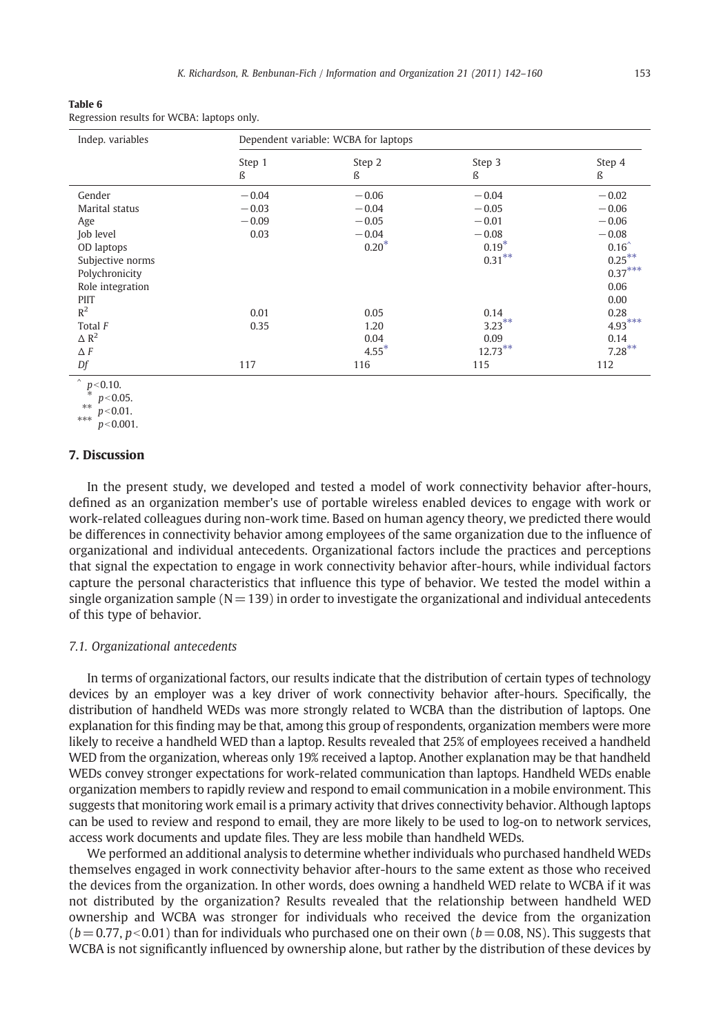<span id="page-11-0"></span>

| Table 6                                    |  |
|--------------------------------------------|--|
| Regression results for WCBA: laptops only. |  |

| Indep. variables | Dependent variable: WCBA for laptops |             |             |             |  |
|------------------|--------------------------------------|-------------|-------------|-------------|--|
|                  | Step 1<br>ß                          | Step 2<br>ß | Step 3<br>ß | Step 4<br>ß |  |
| Gender           | $-0.04$                              | $-0.06$     | $-0.04$     | $-0.02$     |  |
| Marital status   | $-0.03$                              | $-0.04$     | $-0.05$     | $-0.06$     |  |
| Age              | $-0.09$                              | $-0.05$     | $-0.01$     | $-0.06$     |  |
| Job level        | 0.03                                 | $-0.04$     | $-0.08$     | $-0.08$     |  |
| OD laptops       |                                      | $0.20*$     | $0.19*$     | $0.16^$     |  |
| Subjective norms |                                      |             | $0.31***$   | $0.25***$   |  |
| Polychronicity   |                                      |             |             | $0.37***$   |  |
| Role integration |                                      |             |             | 0.06        |  |
| PIIT             |                                      |             |             | 0.00        |  |
| $R^2$            | 0.01                                 | 0.05        | 0.14        | 0.28        |  |
| Total F          | 0.35                                 | 1.20        | $3.23***$   | $4.93***$   |  |
| $\triangle R^2$  |                                      | 0.04        | 0.09        | 0.14        |  |
| $\Delta F$       |                                      | $4.55*$     | $12.73***$  | $7.28***$   |  |
| Df               | 117                                  | 116         | 115         | 112         |  |

 $p$  < 0.10.

\*  $p<0.05$ .

\*\*  $p<$  0.01.

\*\*\*  $p < 0.001$ .

#### 7. Discussion

In the present study, we developed and tested a model of work connectivity behavior after-hours, defined as an organization member's use of portable wireless enabled devices to engage with work or work-related colleagues during non-work time. Based on human agency theory, we predicted there would be differences in connectivity behavior among employees of the same organization due to the influence of organizational and individual antecedents. Organizational factors include the practices and perceptions that signal the expectation to engage in work connectivity behavior after-hours, while individual factors capture the personal characteristics that influence this type of behavior. We tested the model within a single organization sample ( $N = 139$ ) in order to investigate the organizational and individual antecedents of this type of behavior.

#### 7.1. Organizational antecedents

In terms of organizational factors, our results indicate that the distribution of certain types of technology devices by an employer was a key driver of work connectivity behavior after-hours. Specifically, the distribution of handheld WEDs was more strongly related to WCBA than the distribution of laptops. One explanation for this finding may be that, among this group of respondents, organization members were more likely to receive a handheld WED than a laptop. Results revealed that 25% of employees received a handheld WED from the organization, whereas only 19% received a laptop. Another explanation may be that handheld WEDs convey stronger expectations for work-related communication than laptops. Handheld WEDs enable organization members to rapidly review and respond to email communication in a mobile environment. This suggests that monitoring work email is a primary activity that drives connectivity behavior. Although laptops can be used to review and respond to email, they are more likely to be used to log-on to network services, access work documents and update files. They are less mobile than handheld WEDs.

We performed an additional analysis to determine whether individuals who purchased handheld WEDs themselves engaged in work connectivity behavior after-hours to the same extent as those who received the devices from the organization. In other words, does owning a handheld WED relate to WCBA if it was not distributed by the organization? Results revealed that the relationship between handheld WED ownership and WCBA was stronger for individuals who received the device from the organization  $(b= 0.77, p< 0.01)$  than for individuals who purchased one on their own ( $b= 0.08$ , NS). This suggests that WCBA is not significantly influenced by ownership alone, but rather by the distribution of these devices by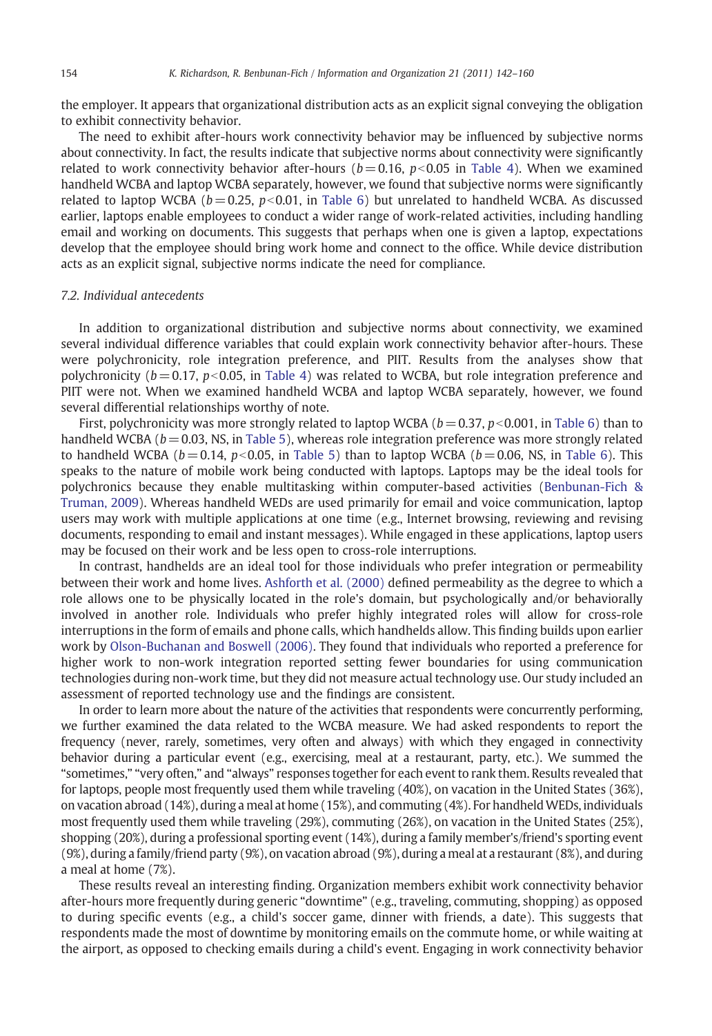the employer. It appears that organizational distribution acts as an explicit signal conveying the obligation to exhibit connectivity behavior.

The need to exhibit after-hours work connectivity behavior may be influenced by subjective norms about connectivity. In fact, the results indicate that subjective norms about connectivity were significantly related to work connectivity behavior after-hours ( $b = 0.16$ ,  $p < 0.05$  in [Table 4\)](#page-10-0). When we examined handheld WCBA and laptop WCBA separately, however, we found that subjective norms were significantly related to laptop WCBA ( $b = 0.25$ ,  $p < 0.01$ , in [Table 6](#page-11-0)) but unrelated to handheld WCBA. As discussed earlier, laptops enable employees to conduct a wider range of work-related activities, including handling email and working on documents. This suggests that perhaps when one is given a laptop, expectations develop that the employee should bring work home and connect to the office. While device distribution acts as an explicit signal, subjective norms indicate the need for compliance.

#### 7.2. Individual antecedents

In addition to organizational distribution and subjective norms about connectivity, we examined several individual difference variables that could explain work connectivity behavior after-hours. These were polychronicity, role integration preference, and PIIT. Results from the analyses show that polychronicity ( $b = 0.17$ ,  $p < 0.05$ , in [Table 4\)](#page-10-0) was related to WCBA, but role integration preference and PIIT were not. When we examined handheld WCBA and laptop WCBA separately, however, we found several differential relationships worthy of note.

First, polychronicity was more strongly related to laptop WCBA ( $b = 0.37$ ,  $p < 0.001$ , in [Table 6\)](#page-11-0) than to handheld WCBA ( $b = 0.03$ , NS, in [Table 5\)](#page-10-0), whereas role integration preference was more strongly related to handheld WCBA ( $b = 0.14$ ,  $p < 0.05$ , in [Table 5](#page-10-0)) than to laptop WCBA ( $b = 0.06$ , NS, in [Table 6](#page-11-0)). This speaks to the nature of mobile work being conducted with laptops. Laptops may be the ideal tools for polychronics because they enable multitasking within computer-based activities ([Benbunan-Fich &](#page-16-0) [Truman, 2009](#page-16-0)). Whereas handheld WEDs are used primarily for email and voice communication, laptop users may work with multiple applications at one time (e.g., Internet browsing, reviewing and revising documents, responding to email and instant messages). While engaged in these applications, laptop users may be focused on their work and be less open to cross-role interruptions.

In contrast, handhelds are an ideal tool for those individuals who prefer integration or permeability between their work and home lives. [Ashforth et al. \(2000\)](#page-16-0) defined permeability as the degree to which a role allows one to be physically located in the role's domain, but psychologically and/or behaviorally involved in another role. Individuals who prefer highly integrated roles will allow for cross-role interruptions in the form of emails and phone calls, which handhelds allow. This finding builds upon earlier work by [Olson-Buchanan and Boswell \(2006\).](#page-18-0) They found that individuals who reported a preference for higher work to non-work integration reported setting fewer boundaries for using communication technologies during non-work time, but they did not measure actual technology use. Our study included an assessment of reported technology use and the findings are consistent.

In order to learn more about the nature of the activities that respondents were concurrently performing, we further examined the data related to the WCBA measure. We had asked respondents to report the frequency (never, rarely, sometimes, very often and always) with which they engaged in connectivity behavior during a particular event (e.g., exercising, meal at a restaurant, party, etc.). We summed the "sometimes," "very often," and "always" responses together for each event to rank them. Results revealed that for laptops, people most frequently used them while traveling (40%), on vacation in the United States (36%), on vacation abroad (14%), during a meal at home (15%), and commuting (4%). For handheld WEDs, individuals most frequently used them while traveling (29%), commuting (26%), on vacation in the United States (25%), shopping (20%), during a professional sporting event (14%), during a family member's/friend's sporting event (9%), during a family/friend party (9%), on vacation abroad (9%), during a meal at a restaurant (8%), and during a meal at home (7%).

These results reveal an interesting finding. Organization members exhibit work connectivity behavior after-hours more frequently during generic "downtime" (e.g., traveling, commuting, shopping) as opposed to during specific events (e.g., a child's soccer game, dinner with friends, a date). This suggests that respondents made the most of downtime by monitoring emails on the commute home, or while waiting at the airport, as opposed to checking emails during a child's event. Engaging in work connectivity behavior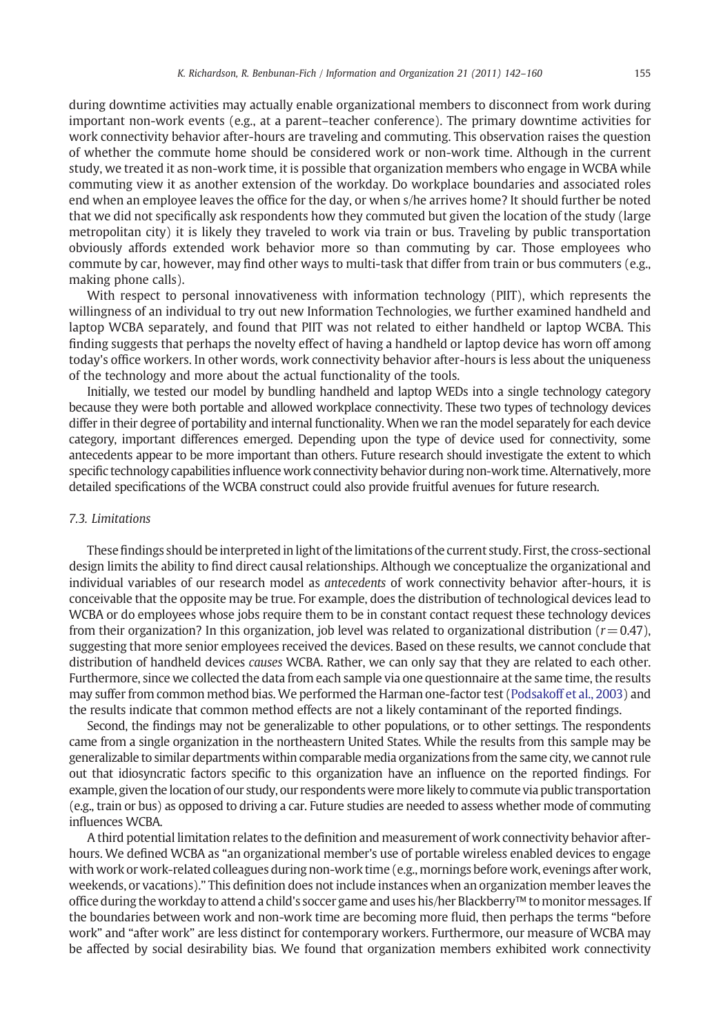during downtime activities may actually enable organizational members to disconnect from work during important non-work events (e.g., at a parent–teacher conference). The primary downtime activities for work connectivity behavior after-hours are traveling and commuting. This observation raises the question of whether the commute home should be considered work or non-work time. Although in the current study, we treated it as non-work time, it is possible that organization members who engage in WCBA while commuting view it as another extension of the workday. Do workplace boundaries and associated roles end when an employee leaves the office for the day, or when s/he arrives home? It should further be noted that we did not specifically ask respondents how they commuted but given the location of the study (large metropolitan city) it is likely they traveled to work via train or bus. Traveling by public transportation obviously affords extended work behavior more so than commuting by car. Those employees who commute by car, however, may find other ways to multi-task that differ from train or bus commuters (e.g., making phone calls).

With respect to personal innovativeness with information technology (PIIT), which represents the willingness of an individual to try out new Information Technologies, we further examined handheld and laptop WCBA separately, and found that PIIT was not related to either handheld or laptop WCBA. This finding suggests that perhaps the novelty effect of having a handheld or laptop device has worn off among today's office workers. In other words, work connectivity behavior after-hours is less about the uniqueness of the technology and more about the actual functionality of the tools.

Initially, we tested our model by bundling handheld and laptop WEDs into a single technology category because they were both portable and allowed workplace connectivity. These two types of technology devices differ in their degree of portability and internal functionality. When we ran the model separately for each device category, important differences emerged. Depending upon the type of device used for connectivity, some antecedents appear to be more important than others. Future research should investigate the extent to which specific technology capabilities influence work connectivity behavior during non-work time. Alternatively, more detailed specifications of the WCBA construct could also provide fruitful avenues for future research.

#### 7.3. Limitations

These findings should be interpreted in light of the limitations of the current study. First, the cross-sectional design limits the ability to find direct causal relationships. Although we conceptualize the organizational and individual variables of our research model as antecedents of work connectivity behavior after-hours, it is conceivable that the opposite may be true. For example, does the distribution of technological devices lead to WCBA or do employees whose jobs require them to be in constant contact request these technology devices from their organization? In this organization, job level was related to organizational distribution ( $r=0.47$ ), suggesting that more senior employees received the devices. Based on these results, we cannot conclude that distribution of handheld devices causes WCBA. Rather, we can only say that they are related to each other. Furthermore, since we collected the data from each sample via one questionnaire at the same time, the results may suffer from common method bias. We performed the Harman one-factor test [\(Podsakoff et al., 2003\)](#page-18-0) and the results indicate that common method effects are not a likely contaminant of the reported findings.

Second, the findings may not be generalizable to other populations, or to other settings. The respondents came from a single organization in the northeastern United States. While the results from this sample may be generalizable to similar departments within comparable media organizations from the same city, we cannot rule out that idiosyncratic factors specific to this organization have an influence on the reported findings. For example, given the location of our study, our respondents were more likely to commute via public transportation (e.g., train or bus) as opposed to driving a car. Future studies are needed to assess whether mode of commuting influences WCBA.

A third potential limitation relates to the definition and measurement of work connectivity behavior afterhours. We defined WCBA as "an organizational member's use of portable wireless enabled devices to engage with work or work-related colleagues during non-work time (e.g., mornings before work, evenings after work, weekends, or vacations)." This definition does not include instances when an organization member leaves the office during the workday to attend a child's soccer game and uses his/her Blackberry™ to monitor messages. If the boundaries between work and non-work time are becoming more fluid, then perhaps the terms "before work" and "after work" are less distinct for contemporary workers. Furthermore, our measure of WCBA may be affected by social desirability bias. We found that organization members exhibited work connectivity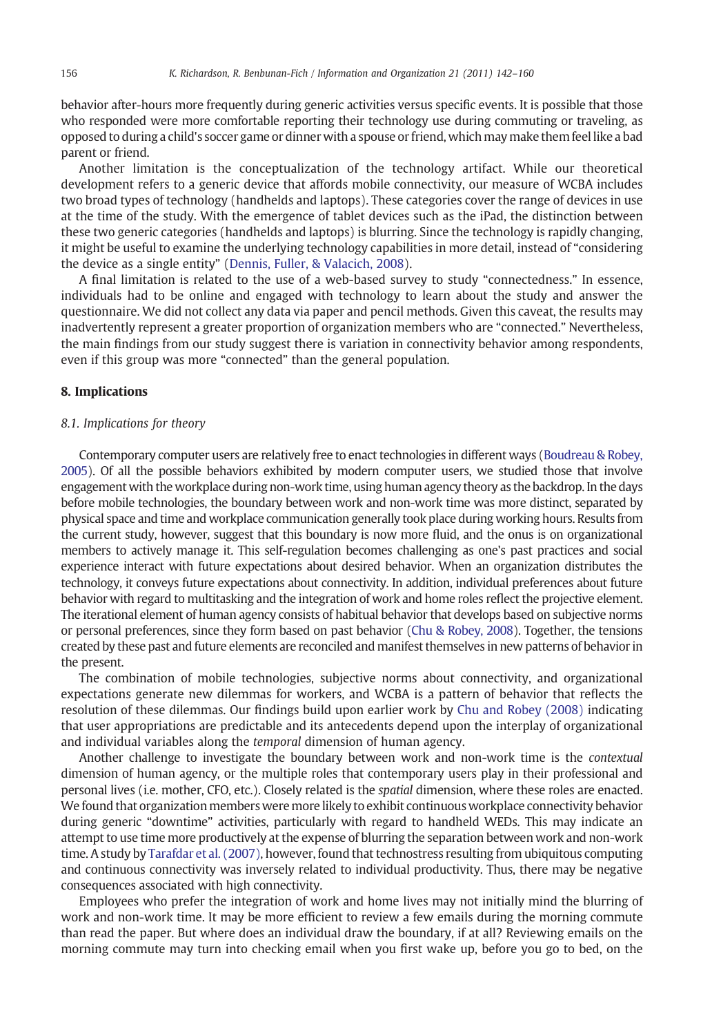behavior after-hours more frequently during generic activities versus specific events. It is possible that those who responded were more comfortable reporting their technology use during commuting or traveling, as opposed to during a child's soccer game or dinner with a spouse or friend, whichmay make them feel like a bad parent or friend.

Another limitation is the conceptualization of the technology artifact. While our theoretical development refers to a generic device that affords mobile connectivity, our measure of WCBA includes two broad types of technology (handhelds and laptops). These categories cover the range of devices in use at the time of the study. With the emergence of tablet devices such as the iPad, the distinction between these two generic categories (handhelds and laptops) is blurring. Since the technology is rapidly changing, it might be useful to examine the underlying technology capabilities in more detail, instead of "considering the device as a single entity" ([Dennis, Fuller, & Valacich, 2008\)](#page-17-0).

A final limitation is related to the use of a web-based survey to study "connectedness." In essence, individuals had to be online and engaged with technology to learn about the study and answer the questionnaire. We did not collect any data via paper and pencil methods. Given this caveat, the results may inadvertently represent a greater proportion of organization members who are "connected." Nevertheless, the main findings from our study suggest there is variation in connectivity behavior among respondents, even if this group was more "connected" than the general population.

#### 8. Implications

#### 8.1. Implications for theory

Contemporary computer users are relatively free to enact technologies in different ways ([Boudreau & Robey,](#page-17-0) [2005\)](#page-17-0). Of all the possible behaviors exhibited by modern computer users, we studied those that involve engagement with the workplace during non-work time, using human agency theory as the backdrop. In the days before mobile technologies, the boundary between work and non-work time was more distinct, separated by physical space and time and workplace communication generally took place during working hours. Results from the current study, however, suggest that this boundary is now more fluid, and the onus is on organizational members to actively manage it. This self-regulation becomes challenging as one's past practices and social experience interact with future expectations about desired behavior. When an organization distributes the technology, it conveys future expectations about connectivity. In addition, individual preferences about future behavior with regard to multitasking and the integration of work and home roles reflect the projective element. The iterational element of human agency consists of habitual behavior that develops based on subjective norms or personal preferences, since they form based on past behavior ([Chu & Robey, 2008](#page-17-0)). Together, the tensions created by these past and future elements are reconciled and manifest themselves in new patterns of behavior in the present.

The combination of mobile technologies, subjective norms about connectivity, and organizational expectations generate new dilemmas for workers, and WCBA is a pattern of behavior that reflects the resolution of these dilemmas. Our findings build upon earlier work by [Chu and Robey \(2008\)](#page-17-0) indicating that user appropriations are predictable and its antecedents depend upon the interplay of organizational and individual variables along the temporal dimension of human agency.

Another challenge to investigate the boundary between work and non-work time is the contextual dimension of human agency, or the multiple roles that contemporary users play in their professional and personal lives (i.e. mother, CFO, etc.). Closely related is the *spatial* dimension, where these roles are enacted. We found that organization members were more likely to exhibit continuous workplace connectivity behavior during generic "downtime" activities, particularly with regard to handheld WEDs. This may indicate an attempt to use time more productively at the expense of blurring the separation between work and non-work time. A study by [Tarafdar et al. \(2007\)](#page-18-0), however, found that technostress resulting from ubiquitous computing and continuous connectivity was inversely related to individual productivity. Thus, there may be negative consequences associated with high connectivity.

Employees who prefer the integration of work and home lives may not initially mind the blurring of work and non-work time. It may be more efficient to review a few emails during the morning commute than read the paper. But where does an individual draw the boundary, if at all? Reviewing emails on the morning commute may turn into checking email when you first wake up, before you go to bed, on the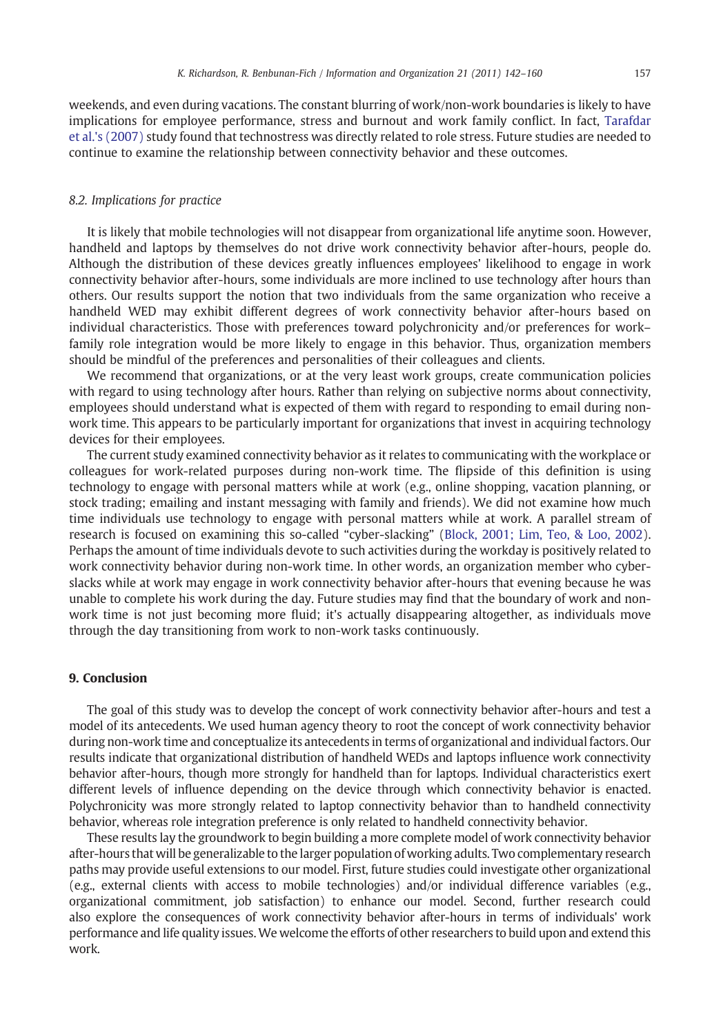weekends, and even during vacations. The constant blurring of work/non-work boundaries is likely to have implications for employee performance, stress and burnout and work family conflict. In fact, [Tarafdar](#page-18-0) [et al.'s \(2007\)](#page-18-0) study found that technostress was directly related to role stress. Future studies are needed to continue to examine the relationship between connectivity behavior and these outcomes.

#### 8.2. Implications for practice

It is likely that mobile technologies will not disappear from organizational life anytime soon. However, handheld and laptops by themselves do not drive work connectivity behavior after-hours, people do. Although the distribution of these devices greatly influences employees' likelihood to engage in work connectivity behavior after-hours, some individuals are more inclined to use technology after hours than others. Our results support the notion that two individuals from the same organization who receive a handheld WED may exhibit different degrees of work connectivity behavior after-hours based on individual characteristics. Those with preferences toward polychronicity and/or preferences for work– family role integration would be more likely to engage in this behavior. Thus, organization members should be mindful of the preferences and personalities of their colleagues and clients.

We recommend that organizations, or at the very least work groups, create communication policies with regard to using technology after hours. Rather than relying on subjective norms about connectivity, employees should understand what is expected of them with regard to responding to email during nonwork time. This appears to be particularly important for organizations that invest in acquiring technology devices for their employees.

The current study examined connectivity behavior as it relates to communicating with the workplace or colleagues for work-related purposes during non-work time. The flipside of this definition is using technology to engage with personal matters while at work (e.g., online shopping, vacation planning, or stock trading; emailing and instant messaging with family and friends). We did not examine how much time individuals use technology to engage with personal matters while at work. A parallel stream of research is focused on examining this so-called "cyber-slacking" [\(Block, 2001; Lim, Teo, & Loo, 2002\)](#page-16-0). Perhaps the amount of time individuals devote to such activities during the workday is positively related to work connectivity behavior during non-work time. In other words, an organization member who cyberslacks while at work may engage in work connectivity behavior after-hours that evening because he was unable to complete his work during the day. Future studies may find that the boundary of work and nonwork time is not just becoming more fluid; it's actually disappearing altogether, as individuals move through the day transitioning from work to non-work tasks continuously.

#### 9. Conclusion

The goal of this study was to develop the concept of work connectivity behavior after-hours and test a model of its antecedents. We used human agency theory to root the concept of work connectivity behavior during non-work time and conceptualize its antecedents in terms of organizational and individual factors. Our results indicate that organizational distribution of handheld WEDs and laptops influence work connectivity behavior after-hours, though more strongly for handheld than for laptops. Individual characteristics exert different levels of influence depending on the device through which connectivity behavior is enacted. Polychronicity was more strongly related to laptop connectivity behavior than to handheld connectivity behavior, whereas role integration preference is only related to handheld connectivity behavior.

These results lay the groundwork to begin building a more complete model of work connectivity behavior after-hours that will be generalizable to the larger population of working adults. Two complementary research paths may provide useful extensions to our model. First, future studies could investigate other organizational (e.g., external clients with access to mobile technologies) and/or individual difference variables (e.g., organizational commitment, job satisfaction) to enhance our model. Second, further research could also explore the consequences of work connectivity behavior after-hours in terms of individuals' work performance and life quality issues.We welcome the efforts of other researchers to build upon and extend this work.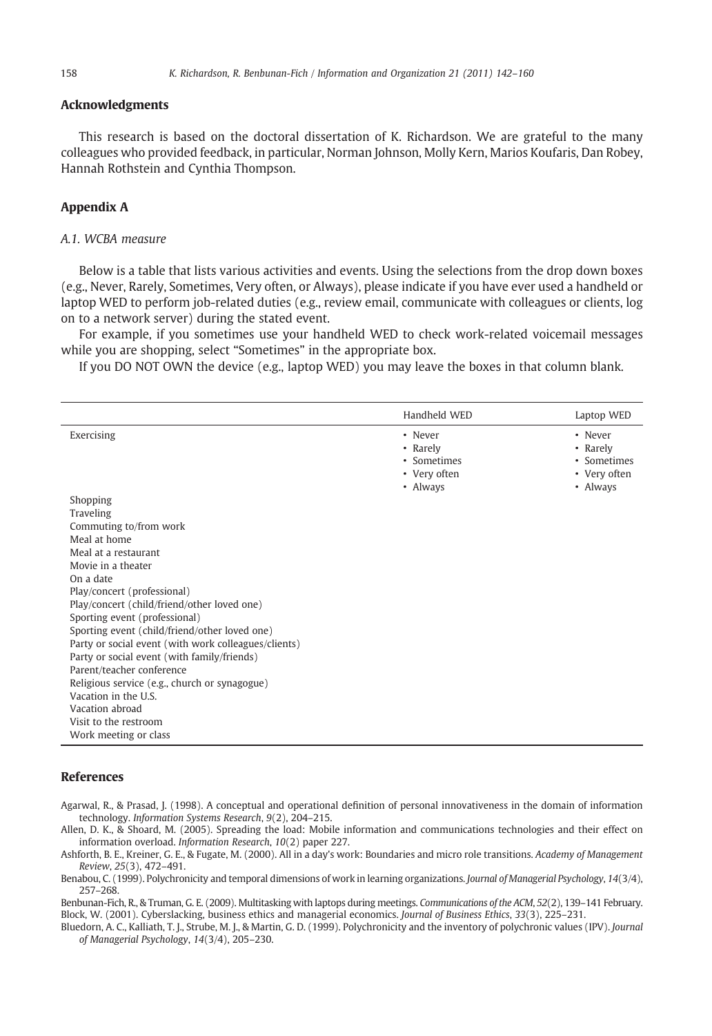#### <span id="page-16-0"></span>Acknowledgments

This research is based on the doctoral dissertation of K. Richardson. We are grateful to the many colleagues who provided feedback, in particular, Norman Johnson, Molly Kern, Marios Koufaris, Dan Robey, Hannah Rothstein and Cynthia Thompson.

#### Appendix A

#### A.1. WCBA measure

Below is a table that lists various activities and events. Using the selections from the drop down boxes (e.g., Never, Rarely, Sometimes, Very often, or Always), please indicate if you have ever used a handheld or laptop WED to perform job-related duties (e.g., review email, communicate with colleagues or clients, log on to a network server) during the stated event.

For example, if you sometimes use your handheld WED to check work-related voicemail messages while you are shopping, select "Sometimes" in the appropriate box.

If you DO NOT OWN the device (e.g., laptop WED) you may leave the boxes in that column blank.

|                                                                                                       | Handheld WED                                                   | Laptop WED                                                     |
|-------------------------------------------------------------------------------------------------------|----------------------------------------------------------------|----------------------------------------------------------------|
| Exercising                                                                                            | • Never<br>• Rarely<br>• Sometimes<br>• Very often<br>• Always | • Never<br>• Rarely<br>• Sometimes<br>• Very often<br>• Always |
| Shopping                                                                                              |                                                                |                                                                |
| Traveling                                                                                             |                                                                |                                                                |
| Commuting to/from work<br>Meal at home                                                                |                                                                |                                                                |
| Meal at a restaurant                                                                                  |                                                                |                                                                |
| Movie in a theater                                                                                    |                                                                |                                                                |
| On a date                                                                                             |                                                                |                                                                |
| Play/concert (professional)                                                                           |                                                                |                                                                |
| Play/concert (child/friend/other loved one)                                                           |                                                                |                                                                |
| Sporting event (professional)                                                                         |                                                                |                                                                |
| Sporting event (child/friend/other loved one)<br>Party or social event (with work colleagues/clients) |                                                                |                                                                |
| Party or social event (with family/friends)                                                           |                                                                |                                                                |
| Parent/teacher conference                                                                             |                                                                |                                                                |
| Religious service (e.g., church or synagogue)                                                         |                                                                |                                                                |
| Vacation in the U.S.                                                                                  |                                                                |                                                                |
| Vacation abroad                                                                                       |                                                                |                                                                |
| Visit to the restroom                                                                                 |                                                                |                                                                |
| Work meeting or class                                                                                 |                                                                |                                                                |

#### References

Agarwal, R., & Prasad, J. (1998). A conceptual and operational definition of personal innovativeness in the domain of information technology. Information Systems Research, 9(2), 204–215.

Allen, D. K., & Shoard, M. (2005). Spreading the load: Mobile information and communications technologies and their effect on information overload. Information Research, 10(2) paper 227.

Ashforth, B. E., Kreiner, G. E., & Fugate, M. (2000). All in a day's work: Boundaries and micro role transitions. Academy of Management Review, 25(3), 472–491.

Benabou, C. (1999). Polychronicity and temporal dimensions of work in learning organizations. Journal of Managerial Psychology, 14(3/4), 257–268.

Benbunan-Fich, R., & Truman, G. E. (2009). Multitasking with laptops during meetings. Communications of the ACM, 52(2), 139-141 February. Block, W. (2001). Cyberslacking, business ethics and managerial economics. Journal of Business Ethics, 33(3), 225–231.

Bluedorn, A. C., Kalliath, T. J., Strube, M. J., & Martin, G. D. (1999). Polychronicity and the inventory of polychronic values (IPV). Journal of Managerial Psychology, 14(3/4), 205–230.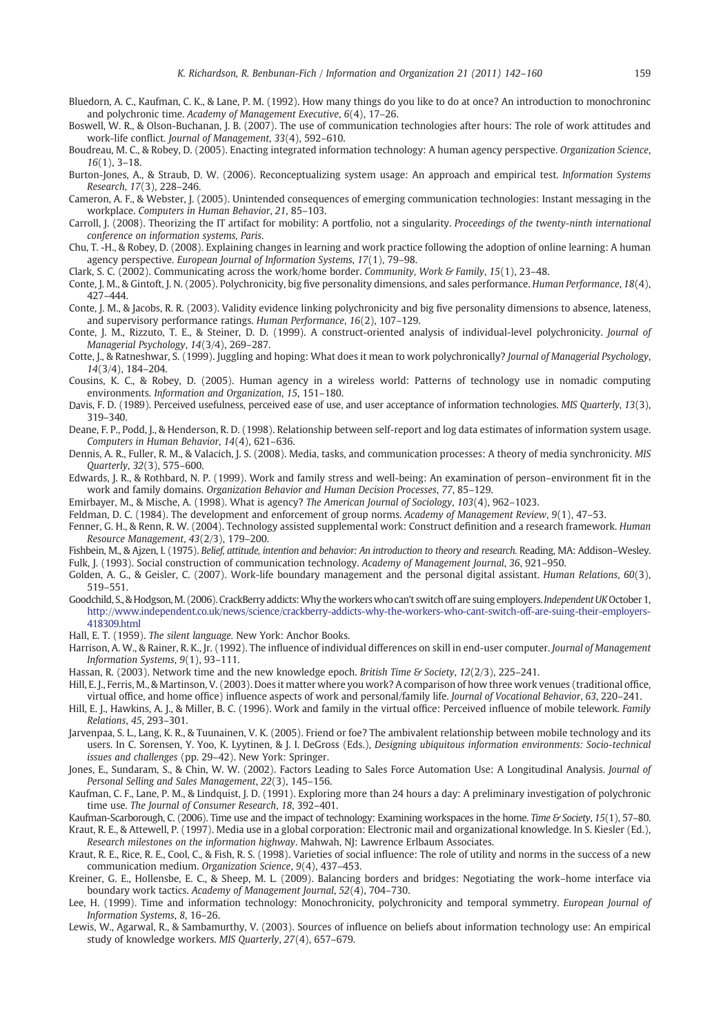- <span id="page-17-0"></span>Bluedorn, A. C., Kaufman, C. K., & Lane, P. M. (1992). How many things do you like to do at once? An introduction to monochroninc and polychronic time. Academy of Management Executive, 6(4), 17–26.
- Boswell, W. R., & Olson-Buchanan, J. B. (2007). The use of communication technologies after hours: The role of work attitudes and work-life conflict. Journal of Management, 33(4), 592–610.
- Boudreau, M. C., & Robey, D. (2005). Enacting integrated information technology: A human agency perspective. Organization Science, 16(1), 3–18.
- Burton-Jones, A., & Straub, D. W. (2006). Reconceptualizing system usage: An approach and empirical test. Information Systems Research, 17(3), 228–246.
- Cameron, A. F., & Webster, J. (2005). Unintended consequences of emerging communication technologies: Instant messaging in the workplace. Computers in Human Behavior, 21, 85–103.
- Carroll, J. (2008). Theorizing the IT artifact for mobility: A portfolio, not a singularity. Proceedings of the twenty-ninth international conference on information systems, Paris.
- Chu, T. -H., & Robey, D. (2008). Explaining changes in learning and work practice following the adoption of online learning: A human agency perspective. European Journal of Information Systems, 17(1), 79–98.
- Clark, S. C. (2002). Communicating across the work/home border. Community, Work & Family, 15(1), 23–48.
- Conte, J. M., & Gintoft, J. N. (2005). Polychronicity, big five personality dimensions, and sales performance. Human Performance, 18(4), 427–444.
- Conte, J. M., & Jacobs, R. R. (2003). Validity evidence linking polychronicity and big five personality dimensions to absence, lateness, and supervisory performance ratings. Human Performance, 16(2), 107–129.
- Conte, J. M., Rizzuto, T. E., & Steiner, D. D. (1999). A construct-oriented analysis of individual-level polychronicity. Journal of Managerial Psychology, 14(3/4), 269–287.
- Cotte, J., & Ratneshwar, S. (1999). Juggling and hoping: What does it mean to work polychronically? Journal of Managerial Psychology, 14(3/4), 184–204.
- Cousins, K. C., & Robey, D. (2005). Human agency in a wireless world: Patterns of technology use in nomadic computing environments. Information and Organization, 15, 151–180.
- Davis, F. D. (1989). Perceived usefulness, perceived ease of use, and user acceptance of information technologies. MIS Quarterly, 13(3), 319–340.
- Deane, F. P., Podd, J., & Henderson, R. D. (1998). Relationship between self-report and log data estimates of information system usage. Computers in Human Behavior, 14(4), 621–636.
- Dennis, A. R., Fuller, R. M., & Valacich, J. S. (2008). Media, tasks, and communication processes: A theory of media synchronicity. MIS Quarterly, 32(3), 575–600.
- Edwards, J. R., & Rothbard, N. P. (1999). Work and family stress and well-being: An examination of person–environment fit in the work and family domains. Organization Behavior and Human Decision Processes, 77, 85–129.
- Emirbayer, M., & Mische, A. (1998). What is agency? The American Journal of Sociology, 103(4), 962–1023.
- Feldman, D. C. (1984). The development and enforcement of group norms. Academy of Management Review, 9(1), 47–53.
- Fenner, G. H., & Renn, R. W. (2004). Technology assisted supplemental work: Construct definition and a research framework. Human Resource Management, 43(2/3), 179–200.
- Fishbein, M., & Ajzen, I. (1975). Belief, attitude, intention and behavior: An introduction to theory and research. Reading, MA: Addison–Wesley. Fulk, J. (1993). Social construction of communication technology. Academy of Management Journal, 36, 921–950.
- Golden, A. G., & Geisler, C. (2007). Work-life boundary management and the personal digital assistant. Human Relations, 60(3), 519–551.
- Goodchild, S., & Hodgson,M. (2006). CrackBerry addicts:Why the workers who can't switch off are suing employers. Independent UKOctober 1, http://www.independent.co.uk/news/science/crackberry-addicts-why-the-workers-who-cant-switch-off-are-suing-their-employers-418309.html
- Hall, E. T. (1959). The silent language. New York: Anchor Books.
- Harrison, A. W., & Rainer, R. K., Jr. (1992). The influence of individual differences on skill in end-user computer. Journal of Management Information Systems, 9(1), 93–111.
- Hassan, R. (2003). Network time and the new knowledge epoch. British Time & Society, 12(2/3), 225-241.
- Hill, E. J., Ferris, M., & Martinson, V. (2003). Does it matter where you work? A comparison of how three work venues (traditional office, virtual office, and home office) influence aspects of work and personal/family life. Journal of Vocational Behavior, 63, 220–241.
- Hill, E. J., Hawkins, A. J., & Miller, B. C. (1996). Work and family in the virtual office: Perceived influence of mobile telework. Family Relations, 45, 293–301.
- Jarvenpaa, S. L., Lang, K. R., & Tuunainen, V. K. (2005). Friend or foe? The ambivalent relationship between mobile technology and its users. In C. Sorensen, Y. Yoo, K. Lyytinen, & J. I. DeGross (Eds.), Designing ubiquitous information environments: Socio-technical issues and challenges (pp. 29–42). New York: Springer.
- Jones, E., Sundaram, S., & Chin, W. W. (2002). Factors Leading to Sales Force Automation Use: A Longitudinal Analysis. Journal of Personal Selling and Sales Management, 22(3), 145–156.
- Kaufman, C. F., Lane, P. M., & Lindquist, J. D. (1991). Exploring more than 24 hours a day: A preliminary investigation of polychronic time use. The Journal of Consumer Research, 18, 392–401.
- Kaufman-Scarborough, C. (2006). Time use and the impact of technology: Examining workspaces in the home. Time & Society, 15(1), 57–80. Kraut, R. E., & Attewell, P. (1997). Media use in a global corporation: Electronic mail and organizational knowledge. In S. Kiesler (Ed.), Research milestones on the information highway. Mahwah, NJ: Lawrence Erlbaum Associates.
- Kraut, R. E., Rice, R. E., Cool, C., & Fish, R. S. (1998). Varieties of social influence: The role of utility and norms in the success of a new communication medium. Organization Science, 9(4), 437–453.
- Kreiner, G. E., Hollensbe, E. C., & Sheep, M. L. (2009). Balancing borders and bridges: Negotiating the work–home interface via boundary work tactics. Academy of Management Journal, 52(4), 704–730.
- Lee, H. (1999). Time and information technology: Monochronicity, polychronicity and temporal symmetry. European Journal of Information Systems, 8, 16–26.
- Lewis, W., Agarwal, R., & Sambamurthy, V. (2003). Sources of influence on beliefs about information technology use: An empirical study of knowledge workers. MIS Quarterly, 27(4), 657–679.